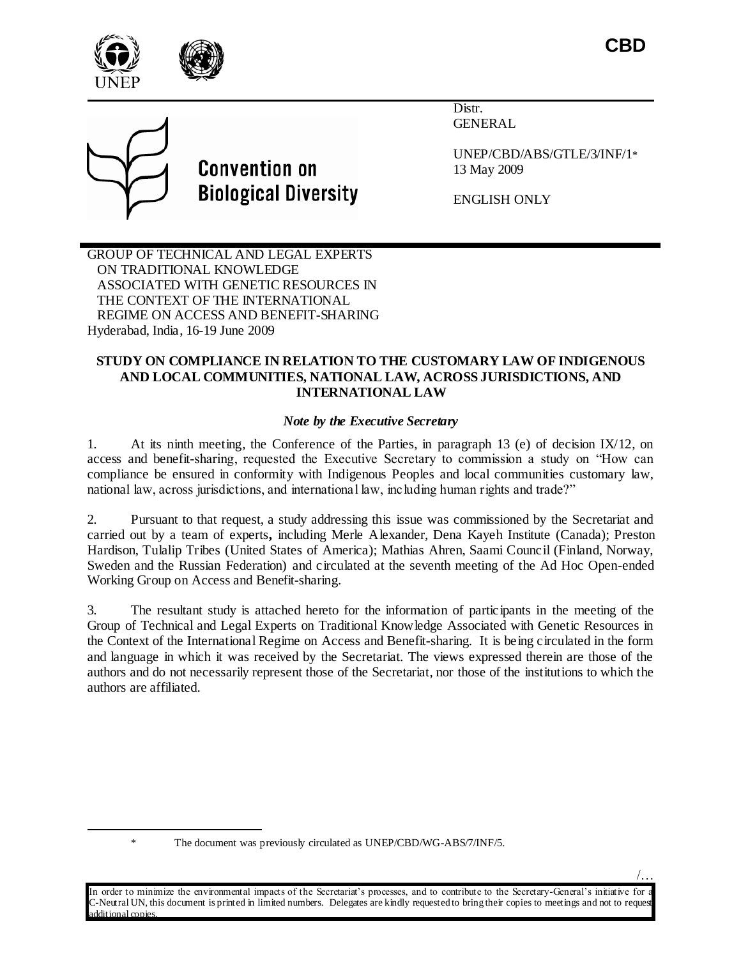/…





# **Convention on Biological Diversity**

Distr. GENERAL

UNEP/CBD/ABS/GTLE/3/INF/1\* 13 May 2009

ENGLISH ONLY

GROUP OF TECHNICAL AND LEGAL EXPERTS ON TRADITIONAL KNOWLEDGE ASSOCIATED WITH GENETIC RESOURCES IN THE CONTEXT OF THE INTERNATIONAL REGIME ON ACCESS AND BENEFIT-SHARING Hyderabad, India, 16-19 June 2009

## **STUDY ON COMPLIANCE IN RELATION TO THE CUSTOMARY LAW OF INDIGENOUS AND LOCAL COMMUNITIES, NATIONAL LAW, ACROSS JURISDICTIONS, AND INTERNATIONAL LAW**

# *Note by the Executive Secretary*

1. At its ninth meeting, the Conference of the Parties, in paragraph 13 (e) of decision IX/12, on access and benefit-sharing, requested the Executive Secretary to commission a study on "How can compliance be ensured in conformity with Indigenous Peoples and local communities customary law, national law, across jurisdictions, and international law, including human rights and trade?"

2. Pursuant to that request, a study addressing this issue was commissioned by the Secretariat and carried out by a team of experts**,** including Merle Alexander, Dena Kayeh Institute (Canada); Preston Hardison, Tulalip Tribes (United States of America); Mathias Ahren, Saami Council (Finland, Norway, Sweden and the Russian Federation) and circulated at the seventh meeting of the Ad Hoc Open-ended Working Group on Access and Benefit-sharing.

3. The resultant study is attached hereto for the information of participants in the meeting of the Group of Technical and Legal Experts on Traditional Knowledge Associated with Genetic Resources in the Context of the International Regime on Access and Benefit-sharing. It is being circulated in the form and language in which it was received by the Secretariat. The views expressed therein are those of the authors and do not necessarily represent those of the Secretariat, nor those of the institutions to which the authors are affiliated.

 $\overline{\phantom{a}}$ 

In order to minimize the environmental impacts of the Secretariat's processes, and to contribute to the Secretary-General's initiative for -Neutral UN, this document is printed in limited numbers. Delegates are kindly requested to bring their copies to meetings and not to reques dditional copies.

<sup>\*</sup> The document was previously circulated as UNEP/CBD/WG-ABS/7/INF/5.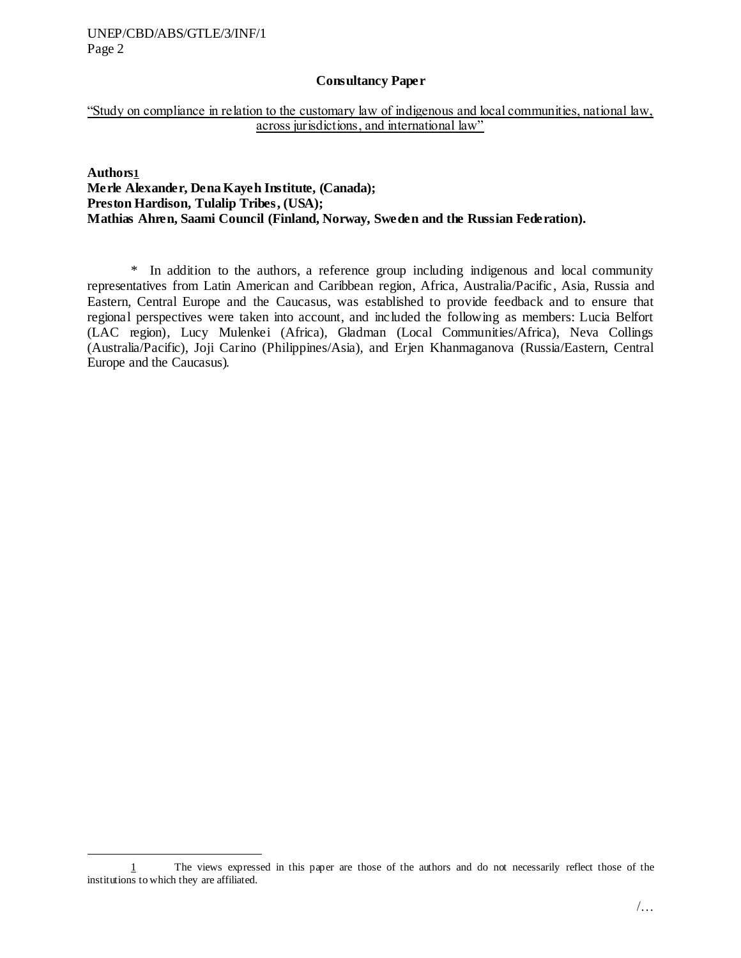$\overline{\phantom{a}}$ 

#### **Consultancy Paper**

"Study on compliance in relation to the customary law of indigenous and local communities, national law, across jurisdictions, and international law"

**Authors1 Merle Alexander, Dena Kayeh Institute, (Canada); Preston Hardison, Tulalip Tribes, (USA); Mathias Ahren, Saami Council (Finland, Norway, Sweden and the Russian Federation).**

\* In addition to the authors, a reference group including indigenous and local community representatives from Latin American and Caribbean region, Africa, Australia/Pacific , Asia, Russia and Eastern, Central Europe and the Caucasus, was established to provide feedback and to ensure that regional perspectives were taken into account, and included the following as members: Lucia Belfort (LAC region), Lucy Mulenkei (Africa), Gladman (Local Communities/Africa), Neva Collings (Australia/Pacific), Joji Carino (Philippines/Asia), and Erjen Khanmaganova (Russia/Eastern, Central Europe and the Caucasus).

<sup>1</sup> The views expressed in this paper are those of the authors and do not necessarily reflect those of the institutions to which they are affiliated.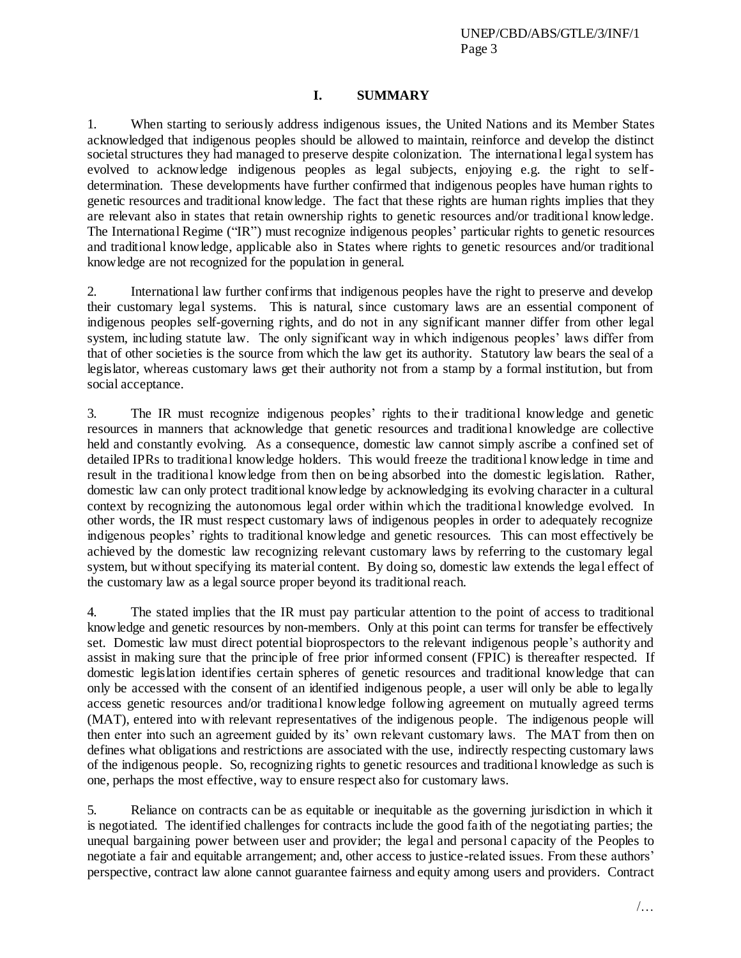## **I. SUMMARY**

1. When starting to seriously address indigenous issues, the United Nations and its Member States acknowledged that indigenous peoples should be allowed to maintain, reinforce and develop the distinct societal structures they had managed to preserve despite colonization. The international legal system has evolved to acknowledge indigenous peoples as legal subjects, enjoying e.g. the right to selfdetermination. These developments have further confirmed that indigenous peoples have human rights to genetic resources and traditional knowledge. The fact that these rights are human rights implies that they are relevant also in states that retain ownership rights to genetic resources and/or traditional knowledge. The International Regime ("IR") must recognize indigenous peoples" particular rights to genetic resources and traditional knowledge, applicable also in States where rights to genetic resources and/or traditional knowledge are not recognized for the population in general.

2. International law further confirms that indigenous peoples have the right to preserve and develop their customary legal systems. This is natural, since customary laws are an essential component of indigenous peoples self-governing rights, and do not in any significant manner differ from other legal system, including statute law. The only significant way in which indigenous peoples' laws differ from that of other societies is the source from which the law get its authority. Statutory law bears the seal of a legislator, whereas customary laws get their authority not from a stamp by a formal institution, but from social acceptance.

3. The IR must recognize indigenous peoples" rights to their traditional knowledge and genetic resources in manners that acknowledge that genetic resources and traditional knowledge are collective held and constantly evolving. As a consequence, domestic law cannot simply ascribe a confined set of detailed IPRs to traditional knowledge holders. This would freeze the traditional knowledge in time and result in the traditional knowledge from then on being absorbed into the domestic legislation. Rather, domestic law can only protect traditional knowledge by acknowledging its evolving character in a cultural context by recognizing the autonomous legal order within which the traditional knowledge evolved. In other words, the IR must respect customary laws of indigenous peoples in order to adequately recognize indigenous peoples" rights to traditional knowledge and genetic resources. This can most effectively be achieved by the domestic law recognizing relevant customary laws by referring to the customary legal system, but without specifying its material content. By doing so, domestic law extends the legal effect of the customary law as a legal source proper beyond its traditional reach.

4. The stated implies that the IR must pay particular attention to the point of access to traditional knowledge and genetic resources by non-members. Only at this point can terms for transfer be effectively set. Domestic law must direct potential bioprospectors to the relevant indigenous people"s authority and assist in making sure that the principle of free prior informed consent (FPIC) is thereafter respected. If domestic legislation identifies certain spheres of genetic resources and traditional knowledge that can only be accessed with the consent of an identified indigenous people, a user will only be able to legally access genetic resources and/or traditional knowledge following agreement on mutually agreed terms (MAT), entered into with relevant representatives of the indigenous people. The indigenous people will then enter into such an agreement guided by its" own relevant customary laws. The MAT from then on defines what obligations and restrictions are associated with the use, indirectly respecting customary laws of the indigenous people. So, recognizing rights to genetic resources and traditional knowledge as such is one, perhaps the most effective, way to ensure respect also for customary laws.

5. Reliance on contracts can be as equitable or inequitable as the governing jurisdiction in which it is negotiated. The identified challenges for contracts include the good faith of the negotiating parties; the unequal bargaining power between user and provider; the legal and personal capacity of the Peoples to negotiate a fair and equitable arrangement; and, other access to justice-related issues. From these authors" perspective, contract law alone cannot guarantee fairness and equity among users and providers. Contract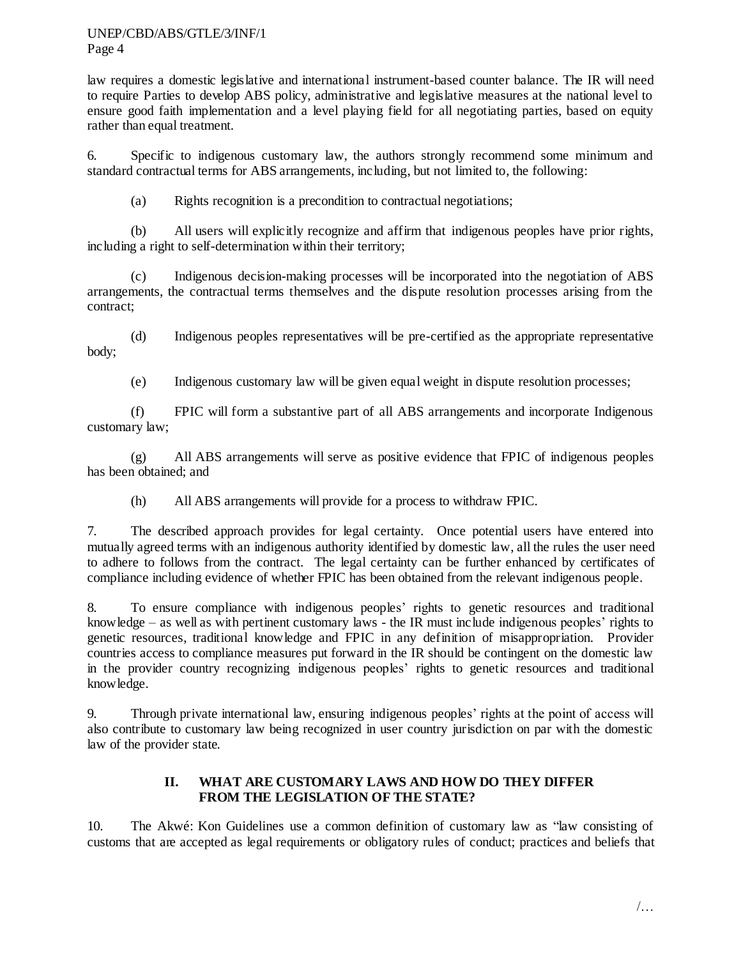law requires a domestic legislative and international instrument-based counter balance. The IR will need to require Parties to develop ABS policy, administrative and legislative measures at the national level to ensure good faith implementation and a level playing field for all negotiating parties, based on equity rather than equal treatment.

6. Specific to indigenous customary law, the authors strongly recommend some minimum and standard contractual terms for ABS arrangements, including, but not limited to, the following:

(a) Rights recognition is a precondition to contractual negotiations;

(b) All users will explicitly recognize and affirm that indigenous peoples have prior rights, including a right to self-determination within their territory;

(c) Indigenous decision-making processes will be incorporated into the negotiation of ABS arrangements, the contractual terms themselves and the dispute resolution processes arising from the contract;

(d) Indigenous peoples representatives will be pre-certified as the appropriate representative body;

(e) Indigenous customary law will be given equal weight in dispute resolution processes;

(f) FPIC will form a substantive part of all ABS arrangements and incorporate Indigenous customary law;

(g) All ABS arrangements will serve as positive evidence that FPIC of indigenous peoples has been obtained; and

(h) All ABS arrangements will provide for a process to withdraw FPIC.

7. The described approach provides for legal certainty. Once potential users have entered into mutually agreed terms with an indigenous authority identified by domestic law, all the rules the user need to adhere to follows from the contract. The legal certainty can be further enhanced by certificates of compliance including evidence of whether FPIC has been obtained from the relevant indigenous people.

8. To ensure compliance with indigenous peoples" rights to genetic resources and traditional knowledge – as well as with pertinent customary laws - the IR must include indigenous peoples" rights to genetic resources, traditional knowledge and FPIC in any definition of misappropriation. Provider countries access to compliance measures put forward in the IR should be contingent on the domestic law in the provider country recognizing indigenous peoples" rights to genetic resources and traditional knowledge.

9. Through private international law, ensuring indigenous peoples" rights at the point of access will also contribute to customary law being recognized in user country jurisdiction on par with the domestic law of the provider state.

# **II. WHAT ARE CUSTOMARY LAWS AND HOW DO THEY DIFFER FROM THE LEGISLATION OF THE STATE?**

10. The Akwé: Kon Guidelines use a common definition of customary law as "law consisting of customs that are accepted as legal requirements or obligatory rules of conduct; practices and beliefs that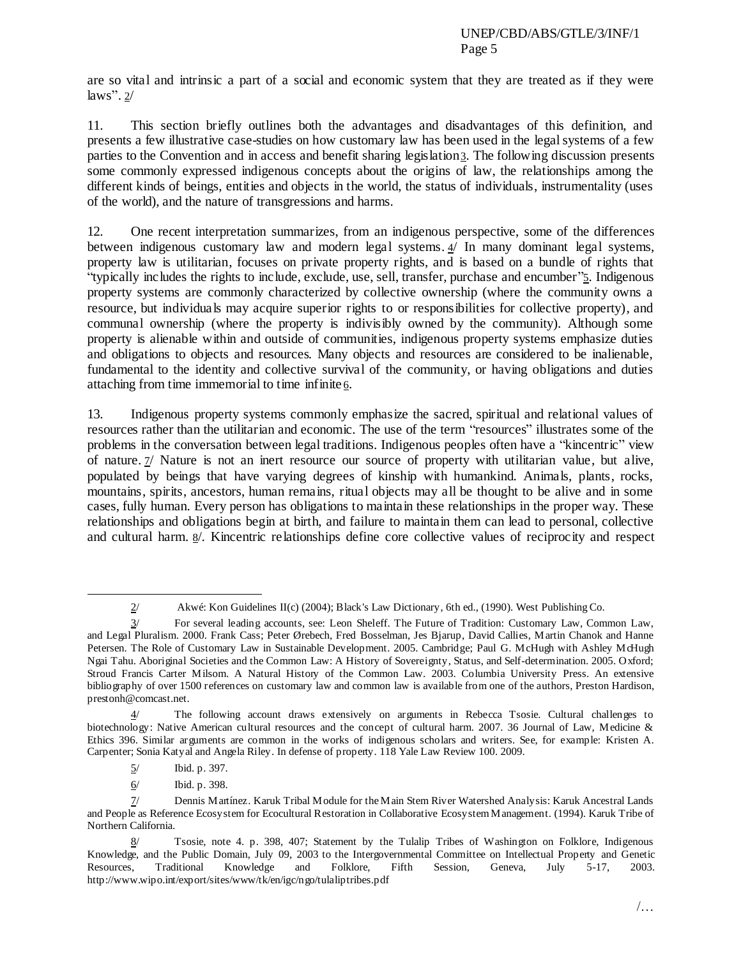are so vital and intrinsic a part of a social and economic system that they are treated as if they were laws".  $2/$ 

11. This section briefly outlines both the advantages and disadvantages of this definition, and presents a few illustrative case-studies on how customary law has been used in the legal systems of a few parties to the Convention and in access and benefit sharing legislation3. The following discussion presents some commonly expressed indigenous concepts about the origins of law, the relationships among the different kinds of beings, entities and objects in the world, the status of individuals, instrumentality (uses of the world), and the nature of transgressions and harms.

12. One recent interpretation summarizes, from an indigenous perspective, some of the differences between indigenous customary law and modern legal systems. 4/ In many dominant legal systems, property law is utilitarian, focuses on private property rights, and is based on a bundle of rights that "typically includes the rights to include, exclude, use, sell, transfer, purchase and encumber"5. Indigenous property systems are commonly characterized by collective ownership (where the community owns a resource, but individuals may acquire superior rights to or responsibilities for collective property), and communal ownership (where the property is indivisibly owned by the community). Although some property is alienable within and outside of communities, indigenous property systems emphasize duties and obligations to objects and resources. Many objects and resources are considered to be inalienable, fundamental to the identity and collective survival of the community, or having obligations and duties attaching from time immemorial to time infinite  $6$ .

13. Indigenous property systems commonly emphasize the sacred, spiritual and relational values of resources rather than the utilitarian and economic. The use of the term "resources" illustrates some of the problems in the conversation between legal traditions. Indigenous peoples often have a "kincentric" view of nature. 7/ Nature is not an inert resource our source of property with utilitarian value, but alive, populated by beings that have varying degrees of kinship with humankind. Animals, plants, rocks, mountains, spirits, ancestors, human remains, ritual objects may all be thought to be alive and in some cases, fully human. Every person has obligations to maintain these relationships in the proper way. These relationships and obligations begin at birth, and failure to maintain them can lead to personal, collective and cultural harm.  $\frac{8}{3}$ . Kincentric relationships define core collective values of reciprocity and respect

 $\overline{a}$ 

<sup>2/</sup> Akwé: Kon Guidelines II(c) (2004); Black's Law Dictionary, 6th ed., (1990). West Publishing Co.

<sup>3/</sup> For several leading accounts, see: Leon Sheleff. The Future of Tradition: Customary Law, Common Law, and Legal Pluralism. 2000. Frank Cass; Peter Ørebech, Fred Bosselman, Jes Bjarup, David Callies, Martin Chanok and Hanne Petersen. The Role of Customary Law in Sustainable Development. 2005. Cambridge; Paul G. McHugh with Ashley McHugh Ngai Tahu. Aboriginal Societies and the Common Law: A History of Sovereignty, Status, and Self-determination. 2005. Oxford; Stroud Francis Carter Milsom. A Natural History of the Common Law. 2003. Columbia University Press. An extensive bibliography of over 1500 references on customary law and common law is available from one of the authors, Preston Hardison, prestonh@comcast.net.

<sup>4/</sup> The following account draws extensively on arguments in Rebecca Tsosie. Cultural challenges to biotechnology: Native American cultural resources and the concept of cultural harm. 2007. 36 Journal of Law, Medicine & Ethics 396. Similar arguments are common in the works of indigenous scholars and writers. See, for example: Kristen A. Carpenter; Sonia Katyal and Angela Riley. In defense of property. 118 Yale Law Review 100. 2009.

<sup>5/</sup> Ibid. p. 397.

<sup>6/</sup> Ibid. p. 398.

<sup>7/</sup> Dennis Martínez. Karuk Tribal Module for the Main Stem River Watershed Analysis: Karuk Ancestral Lands and People as Reference Ecosystem for Ecocultural Restoration in Collaborative Ecosystem Management. (1994). Karuk Tribe of Northern California.

<sup>8/</sup> Tsosie, note 4. p. 398, 407; Statement by the Tulalip Tribes of Washington on Folklore, Indigenous Knowledge, and the Public Domain, July 09, 2003 to the Intergovernmental Committee on Intellectual Property and Genetic Resources, Traditional Knowledge and Folklore, Fifth Session, Geneva, July 5-17, 2003. http://www.wipo.int/export/sites/www/tk/en/igc/ngo/tulaliptribes.pdf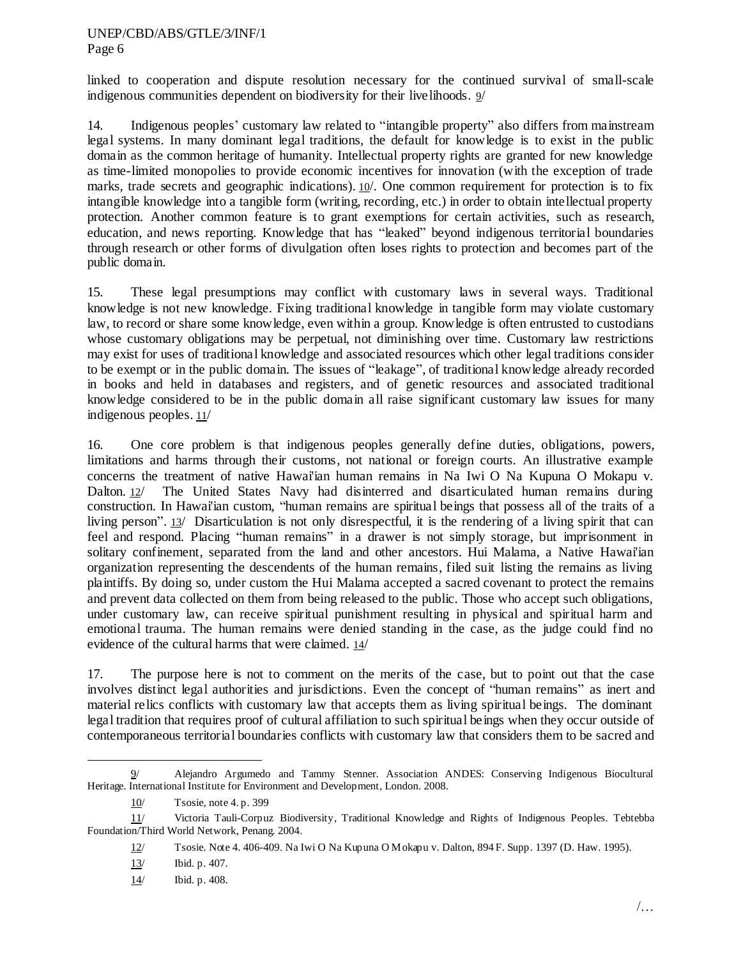linked to cooperation and dispute resolution necessary for the continued survival of small-scale indigenous communities dependent on biodiversity for their livelihoods. 9/

14. Indigenous peoples" customary law related to "intangible property" also differs from mainstream legal systems. In many dominant legal traditions, the default for knowledge is to exist in the public domain as the common heritage of humanity. Intellectual property rights are granted for new knowledge as time-limited monopolies to provide economic incentives for innovation (with the exception of trade marks, trade secrets and geographic indications). 10. One common requirement for protection is to fix intangible knowledge into a tangible form (writing, recording, etc.) in order to obtain intellectual property protection. Another common feature is to grant exemptions for certain activities, such as research, education, and news reporting. Knowledge that has "leaked" beyond indigenous territorial boundaries through research or other forms of divulgation often loses rights to protection and becomes part of the public domain.

15. These legal presumptions may conflict with customary laws in several ways. Traditional knowledge is not new knowledge. Fixing traditional knowledge in tangible form may violate customary law, to record or share some knowledge, even within a group. Knowledge is often entrusted to custodians whose customary obligations may be perpetual, not diminishing over time. Customary law restrictions may exist for uses of traditional knowledge and associated resources which other legal traditions consider to be exempt or in the public domain. The issues of "leakage", of traditional knowledge already recorded in books and held in databases and registers, and of genetic resources and associated traditional knowledge considered to be in the public domain all raise significant customary law issues for many indigenous peoples. 11/

16. One core problem is that indigenous peoples generally define duties, obligations, powers, limitations and harms through their customs, not national or foreign courts. An illustrative example concerns the treatment of native Hawai'ian human remains in Na Iwi O Na Kupuna O Mokapu v. Dalton. 12/ The United States Navy had disinterred and disarticulated human remains during construction. In Hawai'ian custom, "human remains are spiritual beings that possess all of the traits of a living person". 13/ Disarticulation is not only disrespectful, it is the rendering of a living spirit that can feel and respond. Placing "human remains" in a drawer is not simply storage, but imprisonment in solitary confinement, separated from the land and other ancestors. Hui Malama, a Native Hawai'ian organization representing the descendents of the human remains, filed suit listing the remains as living plaintiffs. By doing so, under custom the Hui Malama accepted a sacred covenant to protect the remains and prevent data collected on them from being released to the public. Those who accept such obligations, under customary law, can receive spiritual punishment resulting in physical and spiritual harm and emotional trauma. The human remains were denied standing in the case, as the judge could find no evidence of the cultural harms that were claimed. 14/

17. The purpose here is not to comment on the merits of the case, but to point out that the case involves distinct legal authorities and jurisdictions. Even the concept of "human remains" as inert and material relics conflicts with customary law that accepts them as living spiritual beings. The dominant legal tradition that requires proof of cultural affiliation to such spiritual beings when they occur outside of contemporaneous territorial boundaries conflicts with customary law that considers them to be sacred and

<sup>9/</sup> Alejandro Argumedo and Tammy Stenner. Association ANDES: Conserving Indigenous Biocultural Heritage. International Institute for Environment and Development, London. 2008.

<sup>10/</sup> Tsosie, note 4. p. 399

<sup>11/</sup> Victoria Tauli-Corpuz Biodiversity, Traditional Knowledge and Rights of Indigenous Peoples. Tebtebba Foundation/Third World Network, Penang. 2004.

<sup>12/</sup> Tsosie. Note 4. 406-409. Na Iwi O Na Kupuna O Mokapu v. Dalton, 894 F. Supp. 1397 (D. Haw. 1995).

<sup>13/</sup> Ibid. p. 407.

<sup>14/</sup> Ibid. p. 408.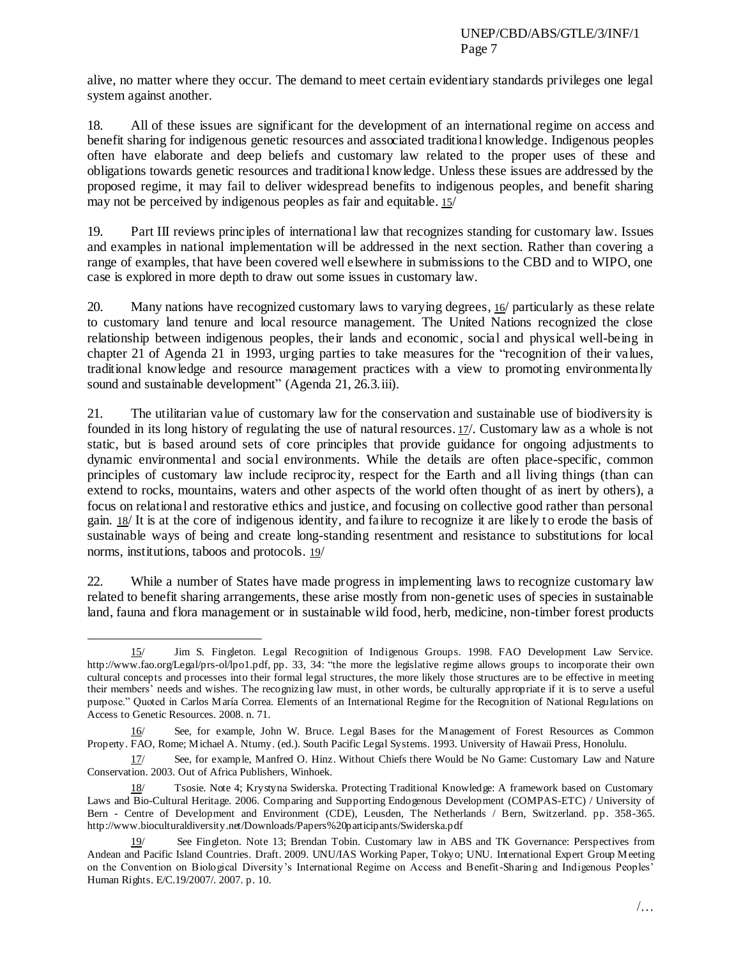alive, no matter where they occur. The demand to meet certain evidentiary standards privileges one legal system against another.

18. All of these issues are significant for the development of an international regime on access and benefit sharing for indigenous genetic resources and associated traditional knowledge. Indigenous peoples often have elaborate and deep beliefs and customary law related to the proper uses of these and obligations towards genetic resources and traditional knowledge. Unless these issues are addressed by the proposed regime, it may fail to deliver widespread benefits to indigenous peoples, and benefit sharing may not be perceived by indigenous peoples as fair and equitable. 15/

19. Part III reviews principles of international law that recognizes standing for customary law. Issues and examples in national implementation will be addressed in the next section. Rather than covering a range of examples, that have been covered well elsewhere in submissions to the CBD and to WIPO, one case is explored in more depth to draw out some issues in customary law.

20. Many nations have recognized customary laws to varying degrees, 16/ particularly as these relate to customary land tenure and local resource management. The United Nations recognized the close relationship between indigenous peoples, their lands and economic, social and physical well-being in chapter 21 of Agenda 21 in 1993, urging parties to take measures for the "recognition of their values, traditional knowledge and resource management practices with a view to promoting environmentally sound and sustainable development" (Agenda 21, 26.3.iii).

21. The utilitarian value of customary law for the conservation and sustainable use of biodiversity is founded in its long history of regulating the use of natural resources. 17/. Customary law as a whole is not static, but is based around sets of core principles that provide guidance for ongoing adjustments to dynamic environmental and social environments. While the details are often place-specific, common principles of customary law include reciprocity, respect for the Earth and all living things (than can extend to rocks, mountains, waters and other aspects of the world often thought of as inert by others), a focus on relational and restorative ethics and justice, and focusing on collective good rather than personal gain. 18/ It is at the core of indigenous identity, and failure to recognize it are likely to erode the basis of sustainable ways of being and create long-standing resentment and resistance to substitutions for local norms, institutions, taboos and protocols. 19/

22. While a number of States have made progress in implementing laws to recognize customary law related to benefit sharing arrangements, these arise mostly from non-genetic uses of species in sustainable land, fauna and flora management or in sustainable wild food, herb, medicine, non-timber forest products

 $\overline{a}$ 

<sup>15/</sup> Jim S. Fingleton. Legal Recognition of Indigenous Groups. 1998. FAO Development Law Service. http://www.fao.org/Legal/prs-ol/lpo1.pdf, pp. 33, 34: "the more the legislative regime allows groups to incorporate their own cultural concepts and processes into their formal legal structures, the more likely those structures are to be effective in meeting their members" needs and wishes. The recognizing law must, in other words, be culturally appropriate if it is to serve a useful purpose." Quoted in Carlos María Correa. Elements of an International Regime for the Recognition of National Regulations on Access to Genetic Resources. 2008. n. 71.

<sup>16/</sup> See, for example, John W. Bruce. Legal Bases for the Management of Forest Resources as Common Property. FAO, Rome; Michael A. Ntumy. (ed.). South Pacific Legal Systems. 1993. University of Hawaii Press, Honolulu.

<sup>17/</sup> See, for example, Manfred O. Hinz. Without Chiefs there Would be No Game: Customary Law and Nature Conservation. 2003. Out of Africa Publishers, Winhoek.

<sup>18/</sup> Tsosie. Note 4; Krystyna Swiderska. Protecting Traditional Knowledge: A framework based on Customary Laws and Bio-Cultural Heritage. 2006. Comparing and Supporting Endogenous Development (COMPAS-ETC) / University of Bern - Centre of Development and Environment (CDE), Leusden, The Netherlands / Bern, Switzerland. pp. 358-365. http://www.bioculturaldiversity.net/Downloads/Papers%20participants/Swiderska.pdf

See Fingleton. Note 13; Brendan Tobin. Customary law in ABS and TK Governance: Perspectives from Andean and Pacific Island Countries. Draft. 2009. UNU/IAS Working Paper, Tokyo; UNU. International Expert Group Meeting on the Convention on Biological Diversity"s International Regime on Access and Benefit-Sharing and Indigenous Peoples" Human Rights. E/C.19/2007/. 2007. p. 10.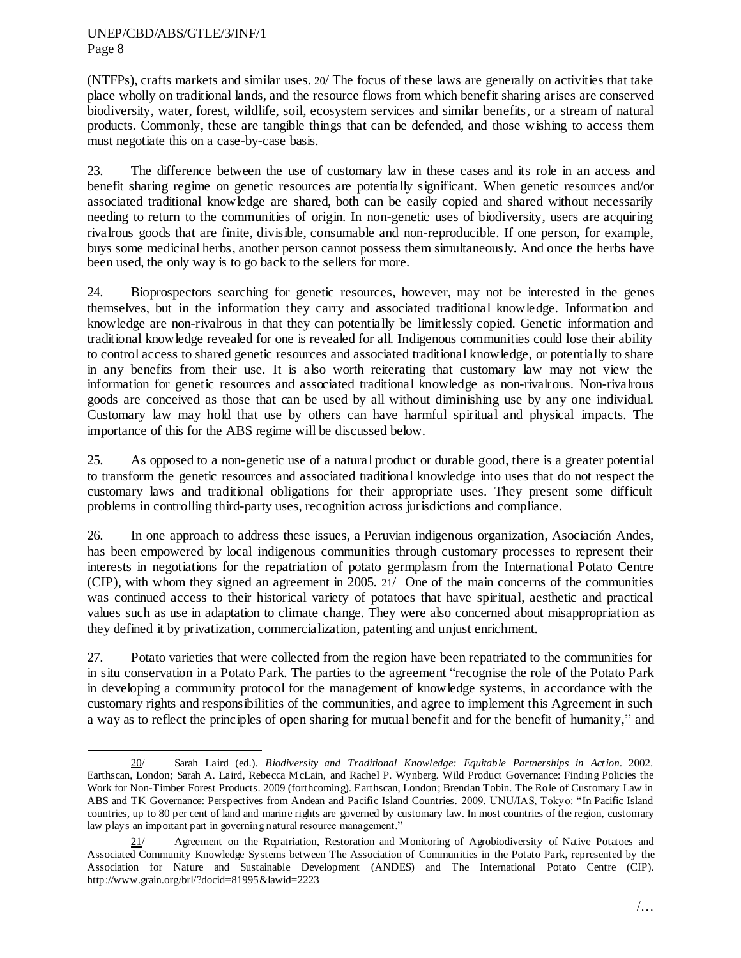$\overline{\phantom{a}}$ 

(NTFPs), crafts markets and similar uses. 20/ The focus of these laws are generally on activities that take place wholly on traditional lands, and the resource flows from which benefit sharing arises are conserved biodiversity, water, forest, wildlife, soil, ecosystem services and similar benefits, or a stream of natural products. Commonly, these are tangible things that can be defended, and those wishing to access them must negotiate this on a case-by-case basis.

23. The difference between the use of customary law in these cases and its role in an access and benefit sharing regime on genetic resources are potentially significant. When genetic resources and/or associated traditional knowledge are shared, both can be easily copied and shared without necessarily needing to return to the communities of origin. In non-genetic uses of biodiversity, users are acquiring rivalrous goods that are finite, divisible, consumable and non-reproducible. If one person, for example, buys some medicinal herbs, another person cannot possess them simultaneously. And once the herbs have been used, the only way is to go back to the sellers for more.

24. Bioprospectors searching for genetic resources, however, may not be interested in the genes themselves, but in the information they carry and associated traditional knowledge. Information and knowledge are non-rivalrous in that they can potentially be limitlessly copied. Genetic information and traditional knowledge revealed for one is revealed for all. Indigenous communities could lose their ability to control access to shared genetic resources and associated traditional knowledge, or potentially to share in any benefits from their use. It is also worth reiterating that customary law may not view the information for genetic resources and associated traditional knowledge as non-rivalrous. Non-rivalrous goods are conceived as those that can be used by all without diminishing use by any one individual. Customary law may hold that use by others can have harmful spiritual and physical impacts. The importance of this for the ABS regime will be discussed below.

25. As opposed to a non-genetic use of a natural product or durable good, there is a greater potential to transform the genetic resources and associated traditional knowledge into uses that do not respect the customary laws and traditional obligations for their appropriate uses. They present some difficult problems in controlling third-party uses, recognition across jurisdictions and compliance.

26. In one approach to address these issues, a Peruvian indigenous organization, Asociación Andes, has been empowered by local indigenous communities through customary processes to represent their interests in negotiations for the repatriation of potato germplasm from the International Potato Centre (CIP), with whom they signed an agreement in 2005.  $21/$  One of the main concerns of the communities was continued access to their historical variety of potatoes that have spiritual, aesthetic and practical values such as use in adaptation to climate change. They were also concerned about misappropriation as they defined it by privatization, commercialization, patenting and unjust enrichment.

27. Potato varieties that were collected from the region have been repatriated to the communities for in situ conservation in a Potato Park. The parties to the agreement "recognise the role of the Potato Park in developing a community protocol for the management of knowledge systems, in accordance with the customary rights and responsibilities of the communities, and agree to implement this Agreement in such a way as to reflect the principles of open sharing for mutual benefit and for the benefit of humanity," and

<sup>20/</sup> Sarah Laird (ed.). *Biodiversity and Traditional Knowledge: Equitable Partnerships in Action*. 2002. Earthscan, London; Sarah A. Laird, Rebecca McLain, and Rachel P. Wynberg. Wild Product Governance: Finding Policies the Work for Non-Timber Forest Products. 2009 (forthcoming). Earthscan, London; Brendan Tobin. The Role of Customary Law in ABS and TK Governance: Perspectives from Andean and Pacific Island Countries. 2009. UNU/IAS, Tokyo: "In Pacific Island countries, up to 80 per cent of land and marine rights are governed by customary law. In most countries of the region, customary law plays an important part in governing natural resource management."

<sup>21/</sup> Agreement on the Repatriation, Restoration and Monitoring of Agrobiodiversity of Native Potatoes and Associated Community Knowledge Systems between The Association of Communities in the Potato Park, represented by the Association for Nature and Sustainable Development (ANDES) and The International Potato Centre (CIP). http://www.grain.org/brl/?docid=81995&lawid=2223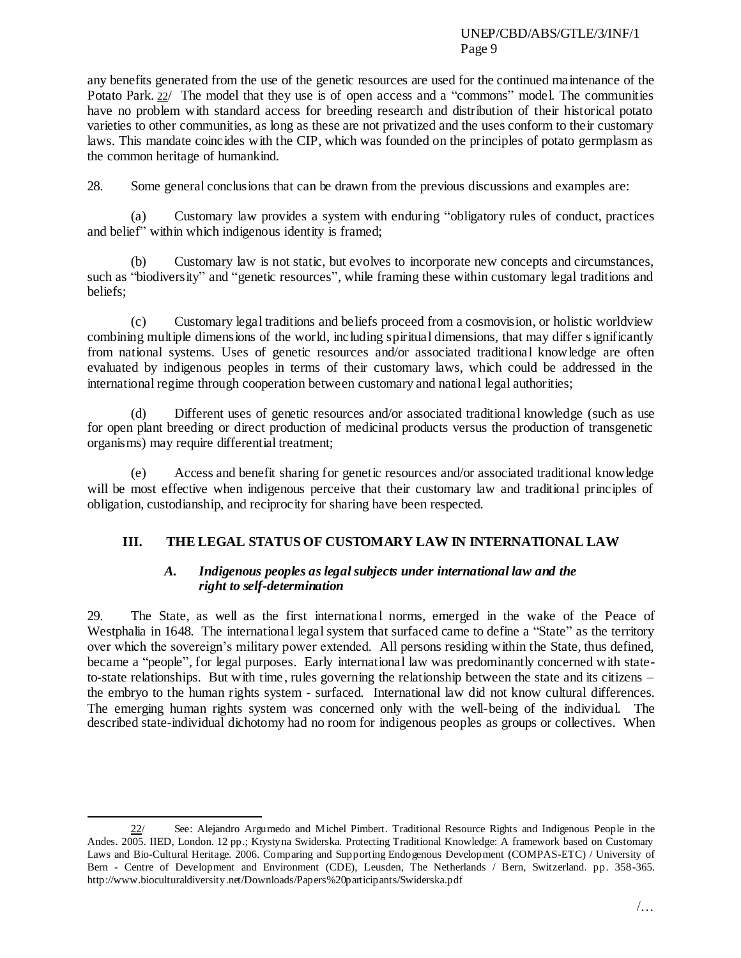any benefits generated from the use of the genetic resources are used for the continued maintenance of the Potato Park. 22/ The model that they use is of open access and a "commons" model. The communities have no problem with standard access for breeding research and distribution of their historical potato varieties to other communities, as long as these are not privatized and the uses conform to their customary laws. This mandate coincides with the CIP, which was founded on the principles of potato germplasm as the common heritage of humankind.

28. Some general conclusions that can be drawn from the previous discussions and examples are:

(a) Customary law provides a system with enduring "obligatory rules of conduct, practices and belief" within which indigenous identity is framed;

(b) Customary law is not static, but evolves to incorporate new concepts and circumstances, such as "biodiversity" and "genetic resources", while framing these within customary legal traditions and beliefs;

(c) Customary legal traditions and beliefs proceed from a cosmovision, or holistic worldview combining multiple dimensions of the world, including spiritual dimensions, that may differ significantly from national systems. Uses of genetic resources and/or associated traditional knowledge are often evaluated by indigenous peoples in terms of their customary laws, which could be addressed in the international regime through cooperation between customary and national legal authorities;

(d) Different uses of genetic resources and/or associated traditional knowledge (such as use for open plant breeding or direct production of medicinal products versus the production of transgenetic organisms) may require differential treatment;

(e) Access and benefit sharing for genetic resources and/or associated traditional knowledge will be most effective when indigenous perceive that their customary law and traditional principles of obligation, custodianship, and reciprocity for sharing have been respected.

# **III. THE LEGAL STATUS OF CUSTOMARY LAW IN INTERNATIONAL LAW**

### *A. Indigenous peoples as legal subjects under international law and the right to self-determination*

29. The State, as well as the first internationa l norms, emerged in the wake of the Peace of Westphalia in 1648. The international legal system that surfaced came to define a "State" as the territory over which the sovereign"s military power extended. All persons residing within the State, thus defined, became a "people", for legal purposes. Early international law was predominantly concerned with stateto-state relationships. But with time , rules governing the relationship between the state and its citizens – the embryo to the human rights system - surfaced. International law did not know cultural differences. The emerging human rights system was concerned only with the well-being of the individual. The described state-individual dichotomy had no room for indigenous peoples as groups or collectives. When

<sup>22/</sup> See: Alejandro Argumedo and Michel Pimbert. Traditional Resource Rights and Indigenous People in the Andes. 2005. IIED, London. 12 pp.; Krystyna Swiderska. Protecting Traditional Knowledge: A framework based on Customary Laws and Bio-Cultural Heritage. 2006. Comparing and Supporting Endogenous Development (COMPAS-ETC) / University of Bern - Centre of Development and Environment (CDE), Leusden, The Netherlands / Bern, Switzerland. pp. 358-365. http://www.bioculturaldiversity.net/Downloads/Papers%20participants/Swiderska.pdf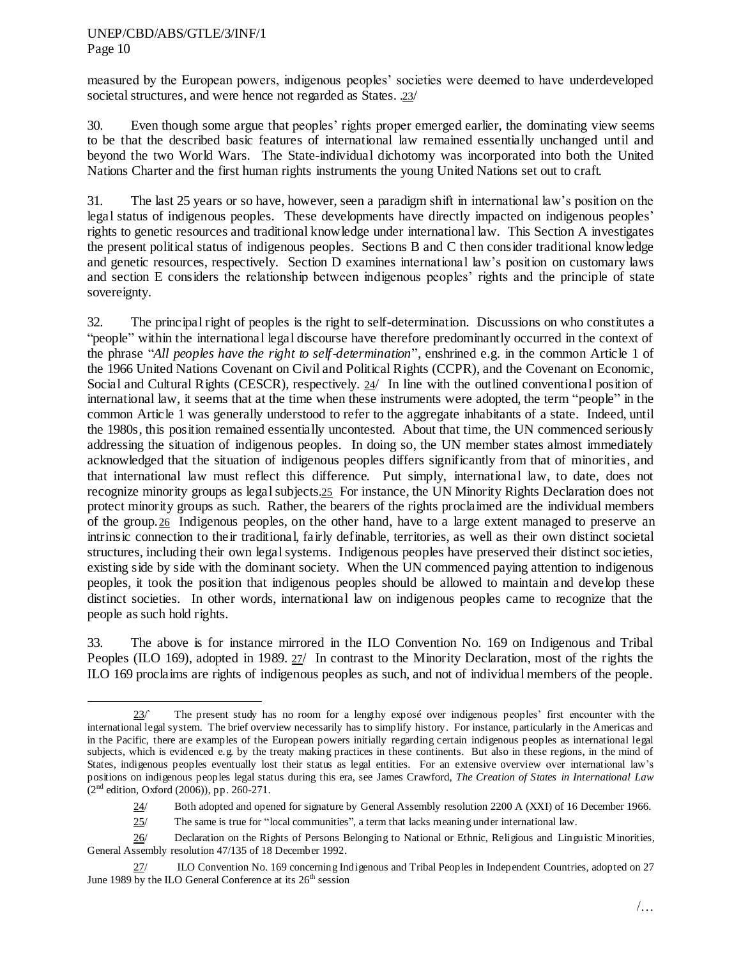$\overline{a}$ 

measured by the European powers, indigenous peoples" societies were deemed to have underdeveloped societal structures, and were hence not regarded as States. .23/

30. Even though some argue that peoples" rights proper emerged earlier, the dominating view seems to be that the described basic features of international law remained essentially unchanged until and beyond the two World Wars. The State-individual dichotomy was incorporated into both the United Nations Charter and the first human rights instruments the young United Nations set out to craft.

31. The last 25 years or so have, however, seen a paradigm shift in international law"s position on the legal status of indigenous peoples. These developments have directly impacted on indigenous peoples" rights to genetic resources and traditional knowledge under international law. This Section A investigates the present political status of indigenous peoples. Sections B and C then consider traditional knowledge and genetic resources, respectively. Section D examines international law"s position on customary laws and section E considers the relationship between indigenous peoples" rights and the principle of state sovereignty.

32. The principal right of peoples is the right to self-determination. Discussions on who constitutes a "people" within the international legal discourse have therefore predominantly occurred in the context of the phrase "*All peoples have the right to self-determination*", enshrined e.g. in the common Article 1 of the 1966 United Nations Covenant on Civil and Political Rights (CCPR), and the Covenant on Economic, Social and Cultural Rights (CESCR), respectively. 24/ In line with the outlined conventional position of international law, it seems that at the time when these instruments were adopted, the term "people" in the common Article 1 was generally understood to refer to the aggregate inhabitants of a state. Indeed, until the 1980s, this position remained essentially uncontested. About that time, the UN commenced seriously addressing the situation of indigenous peoples. In doing so, the UN member states almost immediately acknowledged that the situation of indigenous peoples differs significantly from that of minorities, and that international law must reflect this difference. Put simply, international law, to date, does not recognize minority groups as legal subjects.25 For instance, the UN Minority Rights Declaration does not protect minority groups as such. Rather, the bearers of the rights proclaimed are the individual members of the group.26 Indigenous peoples, on the other hand, have to a large extent managed to preserve an intrinsic connection to their traditional, fairly definable, territories, as well as their own distinct societal structures, including their own legal systems. Indigenous peoples have preserved their distinct societies, existing side by side with the dominant society. When the UN commenced paying attention to indigenous peoples, it took the position that indigenous peoples should be allowed to maintain and develop these distinct societies. In other words, international law on indigenous peoples came to recognize that the people as such hold rights.

33. The above is for instance mirrored in the ILO Convention No. 169 on Indigenous and Tribal Peoples (ILO 169), adopted in 1989. 27/ In contrast to the Minority Declaration, most of the rights the ILO 169 proclaims are rights of indigenous peoples as such, and not of individual members of the people.

 $23$ <sup> $\circ$ </sup> The present study has no room for a lengthy exposé over indigenous peoples' first encounter with the international legal system. The brief overview necessarily has to simplify history. For instance, particularly in the Americas and in the Pacific, there are examples of the European powers initially regarding certain indigenous peoples as international legal subjects, which is evidenced e.g. by the treaty making practices in these continents. But also in these regions, in the mind of States, indigenous peoples eventually lost their status as legal entities. For an extensive overview over international law"s positions on indigenous peoples legal status during this era, see James Crawford, *The Creation of States in International Law*  $(2<sup>nd</sup> edition, Oxford (2006))$ , pp. 260-271.

<sup>24/</sup> Both adopted and opened for signature by General Assembly resolution 2200 A (XXI) of 16 December 1966.

 $25/$  The same is true for "local communities", a term that lacks meaning under international law.

<sup>26/</sup> Declaration on the Rights of Persons Belonging to National or Ethnic, Religious and Linguistic Minorities, General Assembly resolution 47/135 of 18 December 1992.

<sup>27/</sup> ILO Convention No. 169 concerning Indigenous and Tribal Peoples in Independent Countries, adopted on 27 June 1989 by the ILO General Conference at its  $26<sup>th</sup>$  session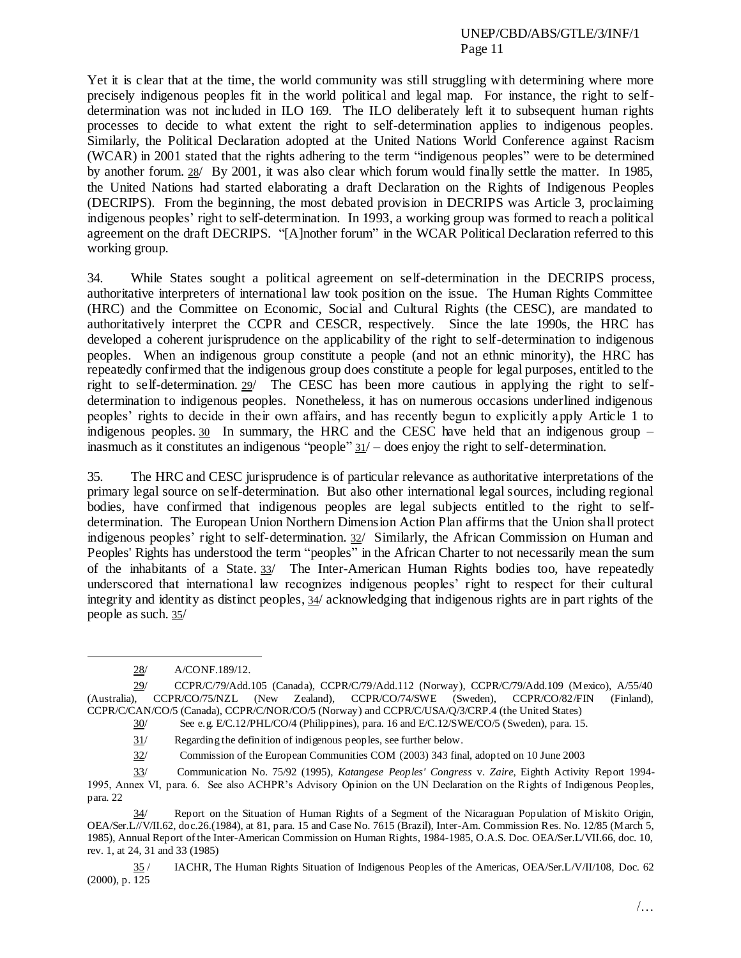Yet it is clear that at the time, the world community was still struggling with determining where more precisely indigenous peoples fit in the world political and legal map. For instance, the right to selfdetermination was not included in ILO 169. The ILO deliberately left it to subsequent human rights processes to decide to what extent the right to self-determination applies to indigenous peoples. Similarly, the Political Declaration adopted at the United Nations World Conference against Racism (WCAR) in 2001 stated that the rights adhering to the term "indigenous peoples" were to be determined by another forum. 28/ By 2001, it was also clear which forum would finally settle the matter. In 1985, the United Nations had started elaborating a draft Declaration on the Rights of Indigenous Peoples (DECRIPS). From the beginning, the most debated provision in DECRIPS was Article 3, proclaiming indigenous peoples" right to self-determination. In 1993, a working group was formed to reach a political agreement on the draft DECRIPS. "[A]nother forum" in the WCAR Political Declaration referred to this working group.

34. While States sought a political agreement on self-determination in the DECRIPS process, authoritative interpreters of international law took position on the issue. The Human Rights Committee (HRC) and the Committee on Economic, Social and Cultural Rights (the CESC), are mandated to authoritatively interpret the CCPR and CESCR, respectively. Since the late 1990s, the HRC has developed a coherent jurisprudence on the applicability of the right to self-determination to indigenous peoples. When an indigenous group constitute a people (and not an ethnic minority), the HRC has repeatedly confirmed that the indigenous group does constitute a people for legal purposes, entitled to the right to self-determination. 29/ The CESC has been more cautious in applying the right to selfdetermination to indigenous peoples. Nonetheless, it has on numerous occasions underlined indigenous peoples" rights to decide in their own affairs, and has recently begun to explicitly apply Article 1 to indigenous peoples. 30 In summary, the HRC and the CESC have held that an indigenous group – inasmuch as it constitutes an indigenous "people" 31/ – does enjoy the right to self-determination.

35. The HRC and CESC jurisprudence is of particular relevance as authoritative interpretations of the primary legal source on self-determination. But also other international legal sources, including regional bodies, have confirmed that indigenous peoples are legal subjects entitled to the right to selfdetermination. The European Union Northern Dimension Action Plan affirms that the Union shall protect indigenous peoples' right to self-determination. 32/ Similarly, the African Commission on Human and Peoples' Rights has understood the term "peoples" in the African Charter to not necessarily mean the sum of the inhabitants of a State.  $33/$  The Inter-American Human Rights bodies too, have repeatedly underscored that international law recognizes indigenous peoples" right to respect for their cultural integrity and identity as distinct peoples, 34/ acknowledging that indigenous rights are in part rights of the people as such. 35/

l

<sup>28/</sup> A/CONF.189/12.

<sup>29/</sup> CCPR/C/79/Add.105 (Canada), CCPR/C/79/Add.112 (Norway), CCPR/C/79/Add.109 (Mexico), A/55/40 (Australia), CCPR/CO/75/NZL (New Zealand), CCPR/CO/74/SWE (Sweden), CCPR/CO/82/FIN (Finland), CCPR/C/CAN/CO/5 (Canada), CCPR/C/NOR/CO/5 (Norway) and CCPR/C/USA/Q/3/CRP.4 (the United States)

<sup>30/</sup> See e.g. E/C.12/PHL/CO/4 (Philippines), para. 16 and E/C.12/SWE/CO/5 (Sweden), para. 15.

<sup>31/</sup> Regarding the definition of indigenous peoples, see further below.

<sup>32/</sup> Commission of the European Communities COM (2003) 343 final, adopted on 10 June 2003

<sup>33/</sup> Communication No. 75/92 (1995), *Katangese Peoples' Congress* v. *Zaire*, Eighth Activity Report 1994- 1995, Annex VI, para. 6. See also ACHPR"s Advisory Opinion on the UN Declaration on the Rights of Indigenous Peoples, para. 22

<sup>34/</sup> Report on the Situation of Human Rights of a Segment of the Nicaraguan Population of Miskito Origin, OEA/Ser.L//V/II.62, doc.26.(1984), at 81, para. 15 and Case No. 7615 (Brazil), Inter-Am. Commission Res. No. 12/85 (March 5, 1985), Annual Report of the Inter-American Commission on Human Rights, 1984-1985, O.A.S. Doc. OEA/Ser.L/VII.66, doc. 10, rev. 1, at 24, 31 and 33 (1985)

<sup>35</sup> / IACHR, The Human Rights Situation of Indigenous Peoples of the Americas, OEA/Ser.L/V/II/108, Doc. 62 (2000), p. 125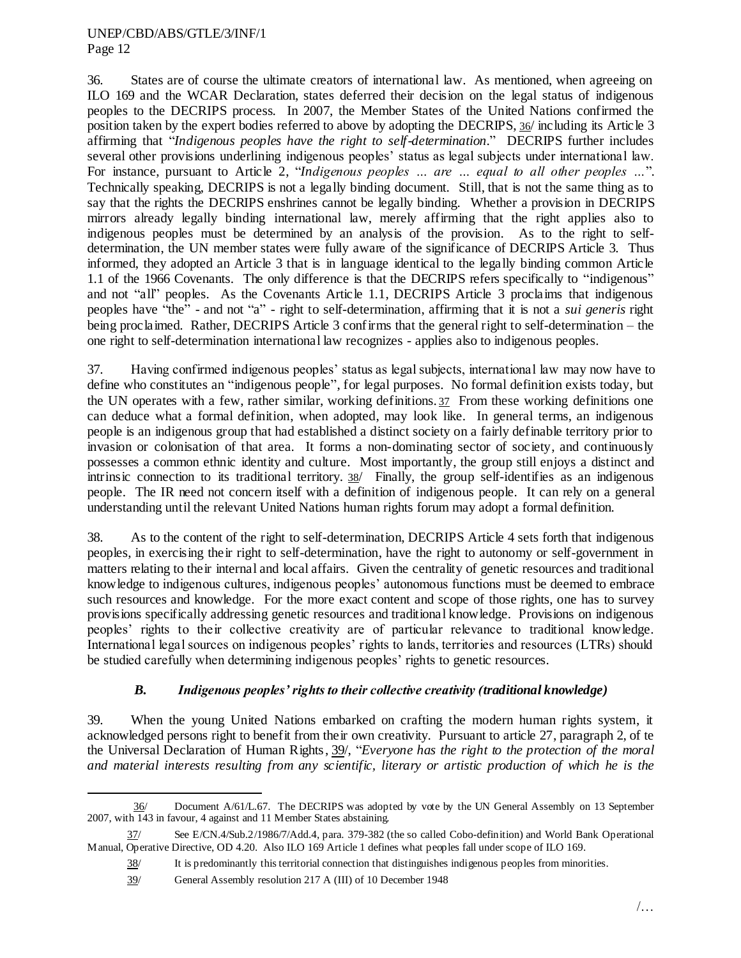36. States are of course the ultimate creators of international law. As mentioned, when agreeing on ILO 169 and the WCAR Declaration, states deferred their decision on the legal status of indigenous peoples to the DECRIPS process. In 2007, the Member States of the United Nations confirmed the position taken by the expert bodies referred to above by adopting the DECRIPS, 36/ including its Article 3 affirming that "*Indigenous peoples have the right to self-determination.*" DECRIPS further includes several other provisions underlining indigenous peoples" status as legal subjects under international law. For instance, pursuant to Article 2, "*Indigenous peoples ... are ... equal to all other peoples ...*". Technically speaking, DECRIPS is not a legally binding document. Still, that is not the same thing as to say that the rights the DECRIPS enshrines cannot be legally binding. Whether a provision in DECRIPS mirrors already legally binding international law, merely affirming that the right applies also to indigenous peoples must be determined by an analysis of the provision. As to the right to selfdetermination, the UN member states were fully aware of the significance of DECRIPS Article 3. Thus informed, they adopted an Article 3 that is in language identical to the legally binding common Article 1.1 of the 1966 Covenants. The only difference is that the DECRIPS refers specifically to "indigenous" and not "all" peoples. As the Covenants Article 1.1, DECRIPS Article 3 proclaims that indigenous peoples have "the" - and not "a" - right to self-determination, affirming that it is not a *sui generis* right being proclaimed. Rather, DECRIPS Article 3 confirms that the general right to self-determination – the one right to self-determination international law recognizes - applies also to indigenous peoples.

37. Having confirmed indigenous peoples" status as legal subjects, international law may now have to define who constitutes an "indigenous people", for legal purposes. No formal definition exists today, but the UN operates with a few, rather similar, working definitions. 37 From these working definitions one can deduce what a formal definition, when adopted, may look like. In general terms, an indigenous people is an indigenous group that had established a distinct society on a fairly definable territory prior to invasion or colonisation of that area. It forms a non-dominating sector of society, and continuously possesses a common ethnic identity and culture. Most importantly, the group still enjoys a distinct and intrinsic connection to its traditional territory. 38/ Finally, the group self-identifies as an indigenous people. The IR need not concern itself with a definition of indigenous people. It can rely on a general understanding until the relevant United Nations human rights forum may adopt a formal definition.

38. As to the content of the right to self-determination, DECRIPS Article 4 sets forth that indigenous peoples, in exercising their right to self-determination, have the right to autonomy or self-government in matters relating to their internal and local affairs. Given the centrality of genetic resources and traditional knowledge to indigenous cultures, indigenous peoples" autonomous functions must be deemed to embrace such resources and knowledge. For the more exact content and scope of those rights, one has to survey provisions specifically addressing genetic resources and traditional knowledge. Provisions on indigenous peoples" rights to their collective creativity are of particular relevance to traditional knowledge. International legal sources on indigenous peoples' rights to lands, territories and resources (LTRs) should be studied carefully when determining indigenous peoples" rights to genetic resources.

# *B. Indigenous peoples' rights to their collective creativity (traditional knowledge)*

39. When the young United Nations embarked on crafting the modern human rights system, it acknowledged persons right to benefit from their own creativity. Pursuant to article 27, paragraph 2, of te the Universal Declaration of Human Rights, 39/, "*Everyone has the right to the protection of the moral and material interests resulting from any scientific, literary or artistic production of which he is the* 

 $\overline{\phantom{a}}$ 36/ Document A/61/L.67. The DECRIPS was adopted by vote by the UN General Assembly on 13 September 2007, with 143 in favour, 4 against and 11 Member States abstaining.

<sup>37/</sup> See E/CN.4/Sub.2/1986/7/Add.4, para. 379-382 (the so called Cobo-definition) and World Bank Operational Manual, Operative Directive, OD 4.20. Also ILO 169 Article 1 defines what peoples fall under scope of ILO 169.

<sup>38/</sup> It is predominantly this territorial connection that distinguishes indigenous peoples from minorities.

<sup>39/</sup> General Assembly resolution 217 A (III) of 10 December 1948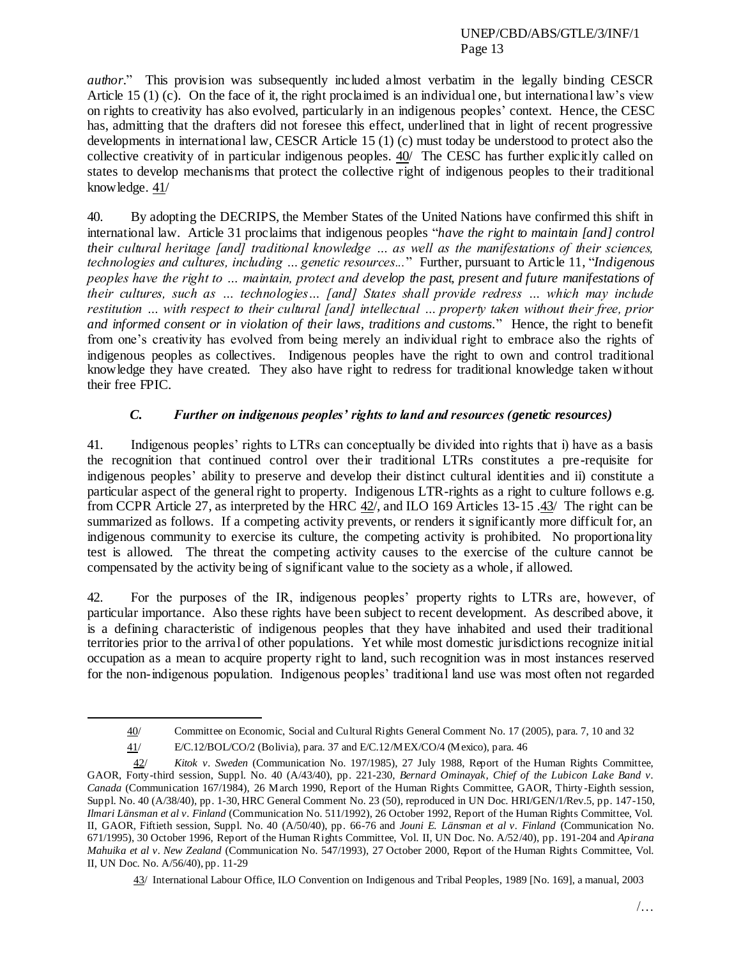*author.*" This provision was subsequently included almost verbatim in the legally binding CESCR Article 15 (1) (c). On the face of it, the right proclaimed is an individual one, but international law's view on rights to creativity has also evolved, particularly in an indigenous peoples" context. Hence, the CESC has, admitting that the drafters did not foresee this effect, underlined that in light of recent progressive developments in international law, CESCR Article  $15(1)(c)$  must today be understood to protect also the collective creativity of in particular indigenous peoples. 40/ The CESC has further explicitly called on states to develop mechanisms that protect the collective right of indigenous peoples to their traditional knowledge. 41/

40. By adopting the DECRIPS, the Member States of the United Nations have confirmed this shift in international law. Article 31 proclaims that indigenous peoples "*have the right to maintain [and] control their cultural heritage [and] traditional knowledge … as well as the manifestations of their sciences, technologies and cultures, including … genetic resources...*" Further, pursuant to Article 11, "*Indigenous peoples have the right to … maintain, protect and develop the past, present and future manifestations of their cultures, such as … technologies… [and] States shall provide redress … which may include restitution … with respect to their cultural [and] intellectual … property taken without their free, prior and informed consent or in violation of their laws, traditions and customs.*" Hence, the right to benefit from one"s creativity has evolved from being merely an individual right to embrace also the rights of indigenous peoples as collectives. Indigenous peoples have the right to own and control traditional knowledge they have created. They also have right to redress for traditional knowledge taken without their free FPIC.

# *C. Further on indigenous peoples' rights to land and resources (genetic resources)*

41. Indigenous peoples" rights to LTRs can conceptually be divided into rights that i) have as a basis the recognition that continued control over their traditional LTRs constitutes a pre-requisite for indigenous peoples" ability to preserve and develop their distinct cultural identities and ii) constitute a particular aspect of the general right to property. Indigenous LTR-rights as a right to culture follows e.g. from CCPR Article 27, as interpreted by the HRC 42/, and ILO 169 Articles 13-15 .43/ The right can be summarized as follows. If a competing activity prevents, or renders it significantly more difficult for, an indigenous community to exercise its culture, the competing activity is prohibited. No proportionality test is allowed. The threat the competing activity causes to the exercise of the culture cannot be compensated by the activity being of significant value to the society as a whole, if allowed.

42. For the purposes of the IR, indigenous peoples" property rights to LTRs are, however, of particular importance. Also these rights have been subject to recent development. As described above, it is a defining characteristic of indigenous peoples that they have inhabited and used their traditional territories prior to the arrival of other populations. Yet while most domestic jurisdictions recognize initial occupation as a mean to acquire property right to land, such recognition was in most instances reserved for the non-indigenous population. Indigenous peoples" traditional land use was most often not regarded

 $\overline{a}$ 

<sup>40/</sup> Committee on Economic, Social and Cultural Rights General Comment No. 17 (2005), para. 7, 10 and 32

<sup>41/</sup> E/C.12/BOL/CO/2 (Bolivia), para. 37 and E/C.12/MEX/CO/4 (Mexico), para. 46

<sup>42/</sup> *Kitok v. Sweden* (Communication No. 197/1985), 27 July 1988, Report of the Human Rights Committee, GAOR, Forty-third session, Suppl. No. 40 (A/43/40), pp. 221-230, *Bernard Ominayak, Chief of the Lubicon Lake Band v. Canada* (Communication 167/1984), 26 March 1990, Report of the Human Rights Committee, GAOR, Thirty -Eighth session, Suppl. No. 40 (A/38/40), pp. 1-30, HRC General Comment No. 23 (50), reproduced in UN Doc. HRI/GEN/1/Rev.5, pp. 147-150, *Ilmari Länsman et al v. Finland* (Communication No. 511/1992), 26 October 1992, Report of the Human Rights Committee, Vol. II, GAOR, Fiftieth session, Suppl. No. 40 (A/50/40), pp. 66-76 and *Jouni E. Länsman et al v. Finland* (Communication No. 671/1995), 30 October 1996, Report of the Human Rights Committee, Vol. II, UN Doc. No. A/52/40), pp. 191-204 and *Apirana Mahuika et al v. New Zealand* (Communication No. 547/1993), 27 October 2000, Report of the Human Rights Committee, Vol. II, UN Doc. No. A/56/40), pp. 11-29

<sup>43/</sup> International Labour Office, ILO Convention on Indigenous and Tribal Peoples, 1989 [No. 169], a manual, 2003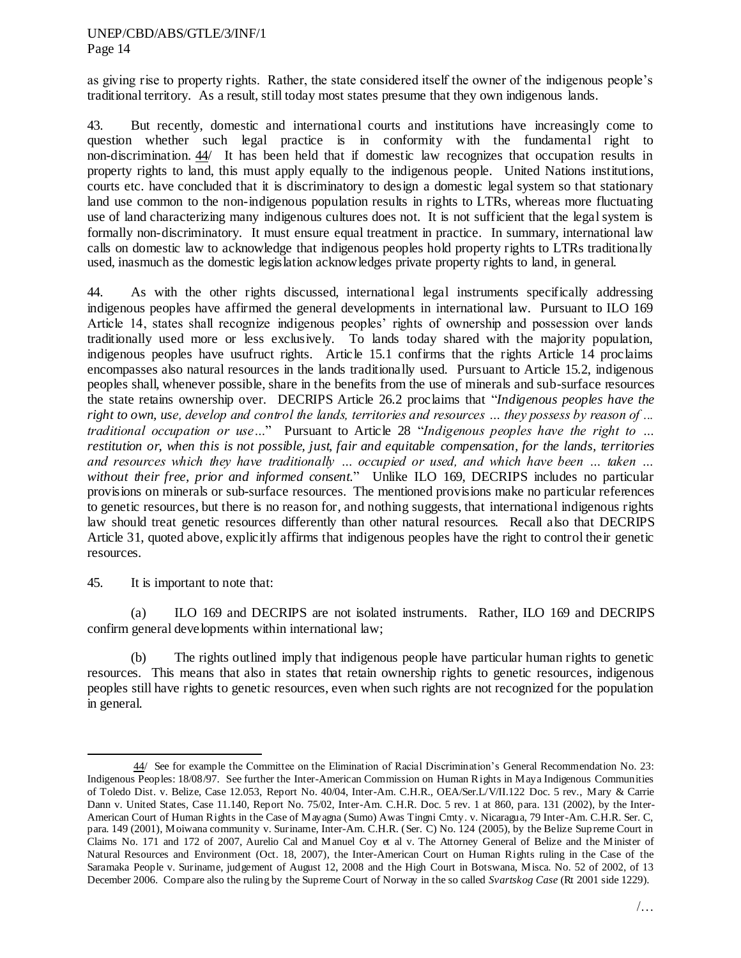as giving rise to property rights. Rather, the state considered itself the owner of the indigenous people"s traditional territory. As a result, still today most states presume that they own indigenous lands.

43. But recently, domestic and international courts and institutions have increasingly come to question whether such legal practice is in conformity with the fundamental right to non-discrimination. 44/ It has been held that if domestic law recognizes that occupation results in property rights to land, this must apply equally to the indigenous people. United Nations institutions, courts etc. have concluded that it is discriminatory to design a domestic legal system so that stationary land use common to the non-indigenous population results in rights to LTRs, whereas more fluctuating use of land characterizing many indigenous cultures does not. It is not sufficient that the legal system is formally non-discriminatory. It must ensure equal treatment in practice. In summary, international law calls on domestic law to acknowledge that indigenous peoples hold property rights to LTRs traditionally used, inasmuch as the domestic legislation acknowledges private property rights to land, in general.

44. As with the other rights discussed, international legal instruments specifically addressing indigenous peoples have affirmed the general developments in international law. Pursuant to ILO 169 Article 14, states shall recognize indigenous peoples' rights of ownership and possession over lands traditionally used more or less exclusively. To lands today shared with the majority population, indigenous peoples have usufruct rights. Article 15.1 confirms that the rights Article 14 proclaims encompasses also natural resources in the lands traditionally used. Pursuant to Article 15.2, indigenous peoples shall, whenever possible, share in the benefits from the use of minerals and sub-surface resources the state retains ownership over. DECRIPS Article 26.2 proclaims that "*Indigenous peoples have the right to own, use, develop and control the lands, territories and resources … they possess by reason of ... traditional occupation or use…*" Pursuant to Article 28 "*Indigenous peoples have the right to … restitution or, when this is not possible, just, fair and equitable compensation, for the lands, territories and resources which they have traditionally … occupied or used, and which have been … taken … without their free, prior and informed consent.*" Unlike ILO 169, DECRIPS includes no particular provisions on minerals or sub-surface resources. The mentioned provisions make no particular references to genetic resources, but there is no reason for, and nothing suggests, that international indigenous rights law should treat genetic resources differently than other natural resources. Recall also that DECRIPS Article 31, quoted above, explicitly affirms that indigenous peoples have the right to control their genetic resources.

### 45. It is important to note that:

 $\overline{\phantom{a}}$ 

(a) ILO 169 and DECRIPS are not isolated instruments. Rather, ILO 169 and DECRIPS confirm general developments within international law;

(b) The rights outlined imply that indigenous people have particular human rights to genetic resources. This means that also in states that retain ownership rights to genetic resources, indigenous peoples still have rights to genetic resources, even when such rights are not recognized for the population in general.

<sup>44/</sup> See for example the Committee on the Elimination of Racial Discrimination"s General Recommendation No. 23: Indigenous Peoples: 18/08/97. See further the Inter-American Commission on Human Rights in Maya Indigenous Communities of Toledo Dist. v. Belize, Case 12.053, Report No. 40/04, Inter-Am. C.H.R., OEA/Ser.L/V/II.122 Doc. 5 rev., Mary & Carrie Dann v. United States, Case 11.140, Report No. 75/02, Inter-Am. C.H.R. Doc. 5 rev. 1 at 860, para. 131 (2002), by the Inter-American Court of Human Rights in the Case of Mayagna (Sumo) Awas Tingni Cmty. v. Nicaragua, 79 Inter-Am. C.H.R. Ser. C, para. 149 (2001), Moiwana community v. Suriname, Inter-Am. C.H.R. (Ser. C) No. 124 (2005), by the Belize Supreme Court in Claims No. 171 and 172 of 2007, Aurelio Cal and Manuel Coy et al v. The Attorney General of Belize and the Minister of Natural Resources and Environment (Oct. 18, 2007), the Inter-American Court on Human Rights ruling in the Case of the Saramaka People v. Suriname, judgement of August 12, 2008 and the High Court in Botswana, Misca. No. 52 of 2002, of 13 December 2006. Compare also the ruling by the Supreme Court of Norway in the so called *Svartskog Case* (Rt 2001 side 1229).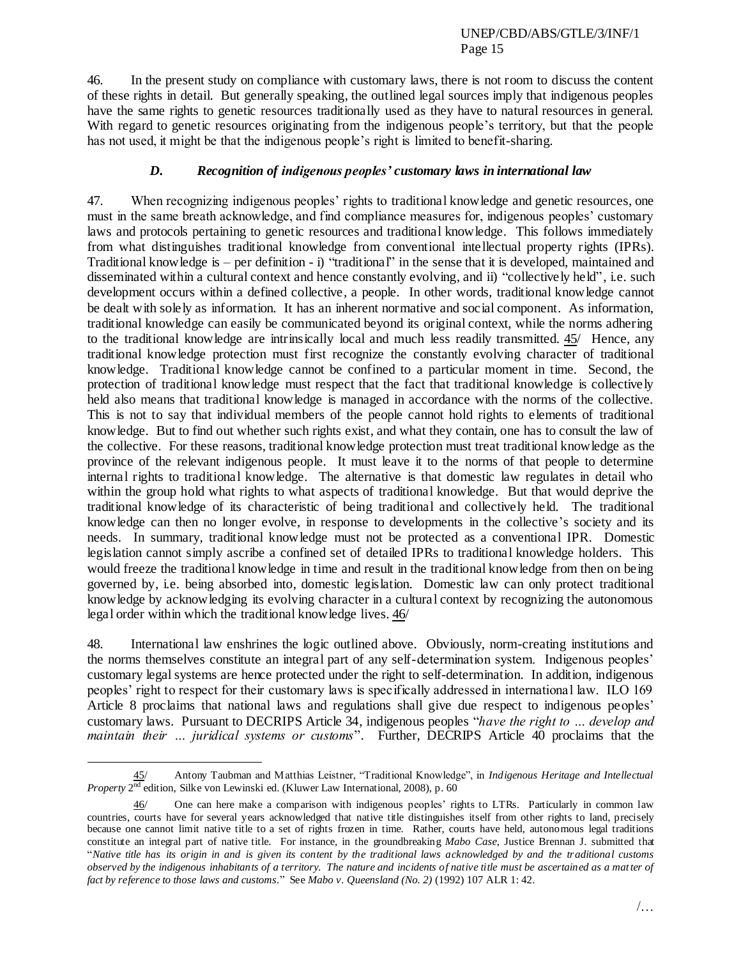46. In the present study on compliance with customary laws, there is not room to discuss the content of these rights in detail. But generally speaking, the outlined legal sources imply that indigenous peoples have the same rights to genetic resources traditionally used as they have to natural resources in general. With regard to genetic resources originating from the indigenous people's territory, but that the people has not used, it might be that the indigenous people's right is limited to benefit-sharing.

# *D. Recognition of indigenous peoples' customary laws in international law*

47. When recognizing indigenous peoples" rights to traditional knowledge and genetic resources, one must in the same breath acknowledge, and find compliance measures for, indigenous peoples" customary laws and protocols pertaining to genetic resources and traditional knowledge. This follows immediately from what distinguishes traditional knowledge from conventional intellectual property rights (IPRs). Traditional knowledge is – per definition - i) "traditional" in the sense that it is developed, maintained and disseminated within a cultural context and hence constantly evolving, and ii) "collectively held", i.e. such development occurs within a defined collective, a people. In other words, traditional knowledge cannot be dealt with solely as information. It has an inherent normative and social component. As information, traditional knowledge can easily be communicated beyond its original context, while the norms adhering to the traditional knowledge are intrinsically local and much less readily transmitted. 45/ Hence, any traditional knowledge protection must first recognize the constantly evolving character of traditional knowledge. Traditional knowledge cannot be confined to a particular moment in time. Second, the protection of traditional knowledge must respect that the fact that traditional knowledge is collectively held also means that traditional knowledge is managed in accordance with the norms of the collective. This is not to say that individual members of the people cannot hold rights to elements of traditional knowledge. But to find out whether such rights exist, and what they contain, one has to consult the law of the collective. For these reasons, traditional knowledge protection must treat traditional knowledge as the province of the relevant indigenous people. It must leave it to the norms of that people to determine internal rights to traditional knowledge. The alternative is that domestic law regulates in detail who within the group hold what rights to what aspects of traditional knowledge. But that would deprive the traditional knowledge of its characteristic of being traditional and collectively held. The traditional knowledge can then no longer evolve, in response to developments in the collective's society and its needs. In summary, traditional knowledge must not be protected as a conventional IPR. Domestic legislation cannot simply ascribe a confined set of detailed IPRs to traditional knowledge holders. This would freeze the traditional knowledge in time and result in the traditional knowledge from then on being governed by, i.e. being absorbed into, domestic legislation. Domestic law can only protect traditional knowledge by acknowledging its evolving character in a cultural context by recognizing the autonomous legal order within which the traditional knowledge lives. 46/

48. International law enshrines the logic outlined above. Obviously, norm-creating institutions and the norms themselves constitute an integral part of any self-determination system. Indigenous peoples" customary legal systems are hence protected under the right to self-determination. In addition, indigenous peoples" right to respect for their customary laws is specifically addressed in international law. ILO 169 Article 8 proclaims that national laws and regulations shall give due respect to indigenous peoples' customary laws. Pursuant to DECRIPS Article 34, indigenous peoples "*have the right to … develop and maintain their … juridical systems or customs*". Further, DECRIPS Article 40 proclaims that the

<sup>45/</sup> Antony Taubman and Matthias Leistner, "Traditional Knowledge", in *Indigenous Heritage and Intellectual*  Property 2<sup>nd</sup> edition, Silke von Lewinski ed. (Kluwer Law International, 2008), p. 60

<sup>46/</sup> One can here make a comparison with indigenous peoples" rights to LTRs. Particularly in common law countries, courts have for several years acknowledged that native title distinguishes itself from other rights to land, precisely because one cannot limit native title to a set of rights frozen in time. Rather, courts have held, autonomous legal traditions constitute an integral part of native title. For instance, in the groundbreaking *Mabo Case*, Justice Brennan J. submitted that "*Native title has its origin in and is given its content by the traditional laws acknowledged by and the traditional customs observed by the indigenous inhabitants of a territory. The nature and incidents of native title must be ascertained as a mat ter of fact by reference to those laws and customs.*" See *Mabo v. Queensland (No. 2)* (1992) 107 ALR 1: 42.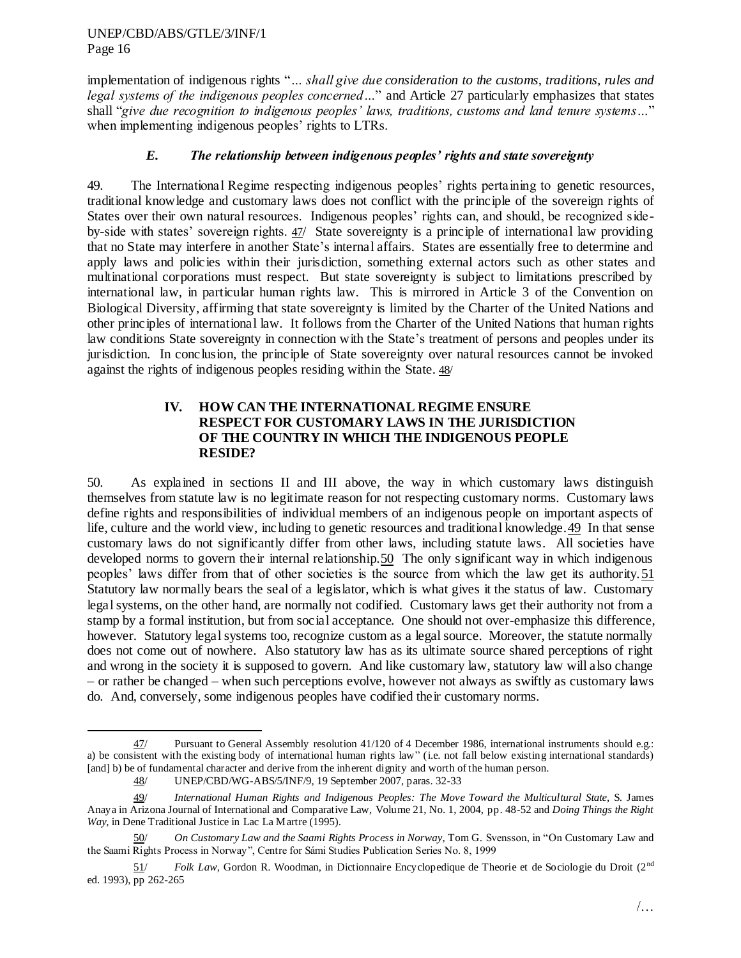implementation of indigenous rights "*… shall give due consideration to the customs, traditions, rules and legal systems of the indigenous peoples concerned…*" and Article 27 particularly emphasizes that states shall "*give due recognition to indigenous peoples' laws, traditions, customs and land tenure systems…*" when implementing indigenous peoples' rights to LTRs.

## *E. The relationship between indigenous peoples' rights and state sovereignty*

49. The International Regime respecting indigenous peoples" rights pertaining to genetic resources, traditional knowledge and customary laws does not conflict with the principle of the sovereign rights of States over their own natural resources. Indigenous peoples" rights can, and should, be recognized sideby-side with states" sovereign rights. 47/ State sovereignty is a principle of international law providing that no State may interfere in another State"s internal affairs. States are essentially free to determine and apply laws and policies within their jurisdiction, something external actors such as other states and multinational corporations must respect. But state sovereignty is subject to limitations prescribed by international law, in particular human rights law. This is mirrored in Article 3 of the Convention on Biological Diversity, affirming that state sovereignty is limited by the Charter of the United Nations and other principles of international law. It follows from the Charter of the United Nations that human rights law conditions State sovereignty in connection with the State's treatment of persons and peoples under its jurisdiction. In conclusion, the principle of State sovereignty over natural resources cannot be invoked against the rights of indigenous peoples residing within the State. 48/

## **IV. HOW CAN THE INTERNATIONAL REGIME ENSURE RESPECT FOR CUSTOMARY LAWS IN THE JURISDICTION OF THE COUNTRY IN WHICH THE INDIGENOUS PEOPLE RESIDE?**

50. As explained in sections II and III above, the way in which customary laws distinguish themselves from statute law is no legitimate reason for not respecting customary norms. Customary laws define rights and responsibilities of individual members of an indigenous people on important aspects of life, culture and the world view, including to genetic resources and traditional knowledge.49 In that sense customary laws do not significantly differ from other laws, including statute laws. All societies have developed norms to govern their internal relationship. 50 The only significant way in which indigenous peoples" laws differ from that of other societies is the source from which the law get its authority.51 Statutory law normally bears the seal of a legislator, which is what gives it the status of law. Customary legal systems, on the other hand, are normally not codified. Customary laws get their authority not from a stamp by a formal institution, but from social acceptance. One should not over-emphasize this difference, however. Statutory legal systems too, recognize custom as a legal source. Moreover, the statute normally does not come out of nowhere. Also statutory law has as its ultimate source shared perceptions of right and wrong in the society it is supposed to govern. And like customary law, statutory law will also change – or rather be changed – when such perceptions evolve, however not always as swiftly as customary laws do. And, conversely, some indigenous peoples have codified their customary norms.

<sup>47/</sup> Pursuant to General Assembly resolution 41/120 of 4 December 1986, international instruments should e.g.: a) be consistent with the existing body of international human rights law" (i.e. not fall below existing international standards) [and] b) be of fundamental character and derive from the inherent dignity and worth of the human person.

<sup>48/</sup> UNEP/CBD/WG-ABS/5/INF/9, 19 September 2007, paras. 32-33

<sup>49/</sup> *International Human Rights and Indigenous Peoples: The Move Toward the Multicultural State*, S. James Anaya in Arizona Journal of International and Comparative Law, Volume 21, No. 1, 2004, pp. 48-52 and *Doing Things the Right Way*, in Dene Traditional Justice in Lac La Martre (1995).

<sup>50/</sup> *On Customary Law and the Saami Rights Process in Norway*, Tom G. Svensson, in "On Customary Law and the Saami Rights Process in Norway", Centre for Sámi Studies Publication Series No. 8, 1999

<sup>51/</sup> *Folk Law*, Gordon R. Woodman, in Dictionnaire Encyclopedique de Theorie et de Sociologie du Droit (2nd ed. 1993), pp 262-265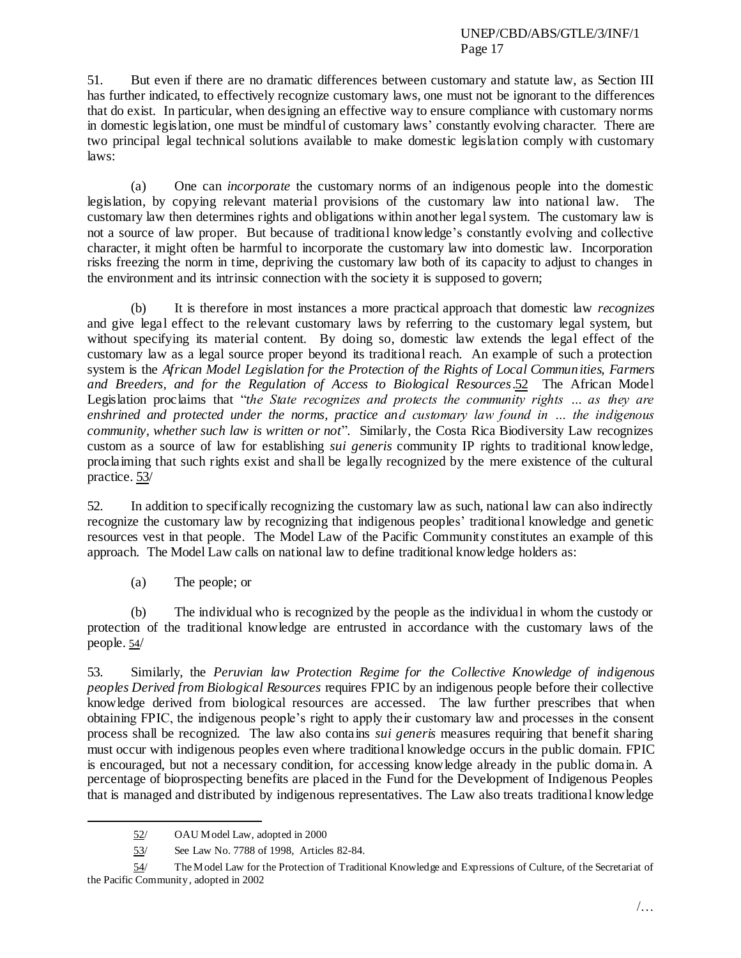51. But even if there are no dramatic differences between customary and statute law, as Section III has further indicated, to effectively recognize customary laws, one must not be ignorant to the differences that do exist. In particular, when designing an effective way to ensure compliance with customary norms in domestic legislation, one must be mindful of customary laws' constantly evolving character. There are two principal legal technical solutions available to make domestic legislation comply with customary laws:

(a) One can *incorporate* the customary norms of an indigenous people into the domestic legislation, by copying relevant material provisions of the customary law into national law. The customary law then determines rights and obligations within another legal system. The customary law is not a source of law proper. But because of traditional knowledge"s constantly evolving and collective character, it might often be harmful to incorporate the customary law into domestic law. Incorporation risks freezing the norm in time, depriving the customary law both of its capacity to adjust to changes in the environment and its intrinsic connection with the society it is supposed to govern;

(b) It is therefore in most instances a more practical approach that domestic law *recognizes* and give legal effect to the relevant customary laws by referring to the customary legal system, but without specifying its material content. By doing so, domestic law extends the legal effect of the customary law as a legal source proper beyond its traditional reach. An example of such a protection system is the *African Model Legislation for the Protection of the Rights of Local Communities, Farmers and Breeders, and for the Regulation of Access to Biological Resources*.52 The African Model Legislation proclaims that "*the State recognizes and protects the community rights … as they are enshrined and protected under the norms, practice and customary law found in … the indigenous community, whether such law is written or not*". Similarly, the Costa Rica Biodiversity Law recognizes custom as a source of law for establishing *sui generis* community IP rights to traditional knowledge, proclaiming that such rights exist and shall be legally recognized by the mere existence of the cultural practice. 53/

52. In addition to specifically recognizing the customary law as such, national law can also indirectly recognize the customary law by recognizing that indigenous peoples" traditional knowledge and genetic resources vest in that people. The Model Law of the Pacific Community constitutes an example of this approach. The Model Law calls on national law to define traditional knowledge holders as:

(a) The people; or

(b) The individual who is recognized by the people as the individual in whom the custody or protection of the traditional knowledge are entrusted in accordance with the customary laws of the people. 54/

53. Similarly, the *Peruvian law Protection Regime for the Collective Knowledge of indigenous peoples Derived from Biological Resources* requires FPIC by an indigenous people before their collective knowledge derived from biological resources are accessed. The law further prescribes that when obtaining FPIC, the indigenous people"s right to apply their customary law and processes in the consent process shall be recognized. The law also contains *sui generis* measures requiring that benefit sharing must occur with indigenous peoples even where traditional knowledge occurs in the public domain. FPIC is encouraged, but not a necessary condition, for accessing knowledge already in the public domain. A percentage of bioprospecting benefits are placed in the Fund for the Development of Indigenous Peoples that is managed and distributed by indigenous representatives. The Law also treats traditional knowledge

<sup>52/</sup> OAU Model Law, adopted in 2000

<sup>53/</sup> See Law No. 7788 of 1998, Articles 82-84.

<sup>54/</sup> The Model Law for the Protection of Traditional Knowledge and Expressions of Culture, of the Secretariat of the Pacific Community, adopted in 2002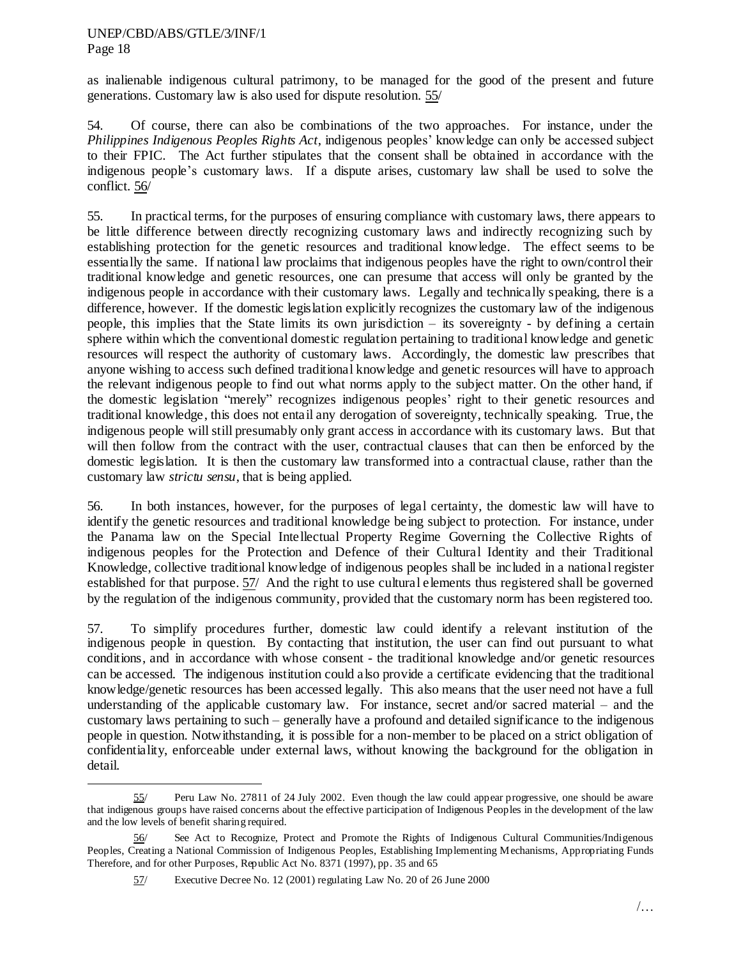$\overline{\phantom{a}}$ 

as inalienable indigenous cultural patrimony, to be managed for the good of the present and future generations. Customary law is also used for dispute resolution. 55/

54. Of course, there can also be combinations of the two approaches. For instance, under the *Philippines Indigenous Peoples Rights Act*, indigenous peoples" knowledge can only be accessed subject to their FPIC. The Act further stipulates that the consent shall be obtained in accordance with the indigenous people"s customary laws. If a dispute arises, customary law shall be used to solve the conflict. 56/

55. In practical terms, for the purposes of ensuring compliance with customary laws, there appears to be little difference between directly recognizing customary laws and indirectly recognizing such by establishing protection for the genetic resources and traditional knowledge. The effect seems to be essentially the same. If national law proclaims that indigenous peoples have the right to own/control their traditional knowledge and genetic resources, one can presume that access will only be granted by the indigenous people in accordance with their customary laws. Legally and technically speaking, there is a difference, however. If the domestic legislation explicitly recognizes the customary law of the indigenous people, this implies that the State limits its own jurisdiction – its sovereignty - by defining a certain sphere within which the conventional domestic regulation pertaining to traditional knowledge and genetic resources will respect the authority of customary laws. Accordingly, the domestic law prescribes that anyone wishing to access such defined traditional knowledge and genetic resources will have to approach the relevant indigenous people to find out what norms apply to the subject matter. On the other hand, if the domestic legislation "merely" recognizes indigenous peoples" right to their genetic resources and traditional knowledge, this does not entail any derogation of sovereignty, technically speaking. True, the indigenous people will still presumably only grant access in accordance with its customary laws. But that will then follow from the contract with the user, contractual clauses that can then be enforced by the domestic legislation. It is then the customary law transformed into a contractual clause, rather than the customary law *strictu sensu*, that is being applied.

56. In both instances, however, for the purposes of legal certainty, the domestic law will have to identify the genetic resources and traditional knowledge being subject to protection. For instance, under the Panama law on the Special Intellectual Property Regime Governing the Collective Rights of indigenous peoples for the Protection and Defence of their Cultural Identity and their Traditional Knowledge, collective traditional knowledge of indigenous peoples shall be included in a national register established for that purpose. 57/ And the right to use cultural elements thus registered shall be governed by the regulation of the indigenous community, provided that the customary norm has been registered too.

57. To simplify procedures further, domestic law could identify a relevant institution of the indigenous people in question. By contacting that institution, the user can find out pursuant to what conditions, and in accordance with whose consent - the traditional knowledge and/or genetic resources can be accessed. The indigenous institution could also provide a certificate evidencing that the traditional knowledge/genetic resources has been accessed legally. This also means that the user need not have a full understanding of the applicable customary law. For instance, secret and/or sacred material – and the customary laws pertaining to such – generally have a profound and detailed significance to the indigenous people in question. Notwithstanding, it is possible for a non-member to be placed on a strict obligation of confidentiality, enforceable under external laws, without knowing the background for the obligation in detail.

<sup>55/</sup> Peru Law No. 27811 of 24 July 2002. Even though the law could appear progressive, one should be aware that indigenous groups have raised concerns about the effective participation of Indigenous Peoples in the development of the law and the low levels of benefit sharing required.

<sup>56/</sup> See Act to Recognize, Protect and Promote the Rights of Indigenous Cultural Communities/Indigenous Peoples, Creating a National Commission of Indigenous Peoples, Establishing Implementing Mechanisms, Appropriating Funds Therefore, and for other Purposes, Republic Act No. 8371 (1997), pp. 35 and 65

<sup>57/</sup> Executive Decree No. 12 (2001) regulating Law No. 20 of 26 June 2000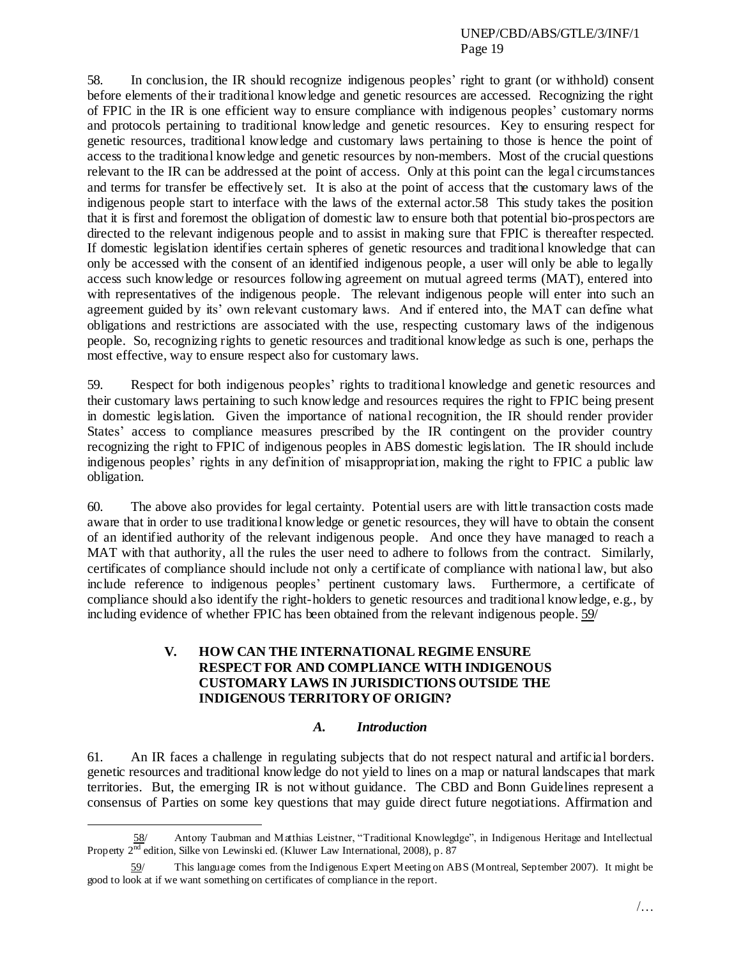58. In conclusion, the IR should recognize indigenous peoples" right to grant (or withhold) consent before elements of their traditional knowledge and genetic resources are accessed. Recognizing the right of FPIC in the IR is one efficient way to ensure compliance with indigenous peoples" customary norms and protocols pertaining to traditional knowledge and genetic resources. Key to ensuring respect for genetic resources, traditional knowledge and customary laws pertaining to those is hence the point of access to the traditional knowledge and genetic resources by non-members. Most of the crucial questions relevant to the IR can be addressed at the point of access. Only at this point can the legal circumstances and terms for transfer be effectively set. It is also at the point of access that the customary laws of the indigenous people start to interface with the laws of the external actor.58 This study takes the position that it is first and foremost the obligation of domestic law to ensure both that potential bio-prospectors are directed to the relevant indigenous people and to assist in making sure that FPIC is thereafter respected. If domestic legislation identifies certain spheres of genetic resources and traditional knowledge that can only be accessed with the consent of an identified indigenous people, a user will only be able to legally access such knowledge or resources following agreement on mutual agreed terms (MAT), entered into with representatives of the indigenous people. The relevant indigenous people will enter into such an agreement guided by its' own relevant customary laws. And if entered into, the MAT can define what obligations and restrictions are associated with the use, respecting customary laws of the indigenous people. So, recognizing rights to genetic resources and traditional knowledge as such is one, perhaps the most effective, way to ensure respect also for customary laws.

59. Respect for both indigenous peoples" rights to traditional knowledge and genetic resources and their customary laws pertaining to such knowledge and resources requires the right to FPIC being present in domestic legislation. Given the importance of national recognition, the IR should render provider States' access to compliance measures prescribed by the IR contingent on the provider country recognizing the right to FPIC of indigenous peoples in ABS domestic legislation. The IR should include indigenous peoples" rights in any definition of misappropriation, making the right to FPIC a public law obligation.

60. The above also provides for legal certainty. Potential users are with little transaction costs made aware that in order to use traditional knowledge or genetic resources, they will have to obtain the consent of an identified authority of the relevant indigenous people. And once they have managed to reach a MAT with that authority, all the rules the user need to adhere to follows from the contract. Similarly, certificates of compliance should include not only a certificate of compliance with national law, but also include reference to indigenous peoples" pertinent customary laws. Furthermore, a certificate of compliance should also identify the right-holders to genetic resources and traditional knowledge, e.g., by including evidence of whether FPIC has been obtained from the relevant indigenous people. 59/

## **V. HOW CAN THE INTERNATIONAL REGIME ENSURE RESPECT FOR AND COMPLIANCE WITH INDIGENOUS CUSTOMARY LAWS IN JURISDICTIONS OUTSIDE THE INDIGENOUS TERRITORY OF ORIGIN?**

### *A. Introduction*

61. An IR faces a challenge in regulating subjects that do not respect natural and artificial borders. genetic resources and traditional knowledge do not yield to lines on a map or natural landscapes that mark territories. But, the emerging IR is not without guidance. The CBD and Bonn Guidelines represent a consensus of Parties on some key questions that may guide direct future negotiations. Affirmation and

<sup>58/</sup> Antony Taubman and Matthias Leistner, "Traditional Knowlegdge", in Indigenous Heritage and Intellectual Property 2nd edition, Silke von Lewinski ed. (Kluwer Law International, 2008), p. 87

<sup>59/</sup> This language comes from the Indigenous Expert Meeting on ABS (Montreal, September 2007). It might be good to look at if we want something on certificates of compliance in the report.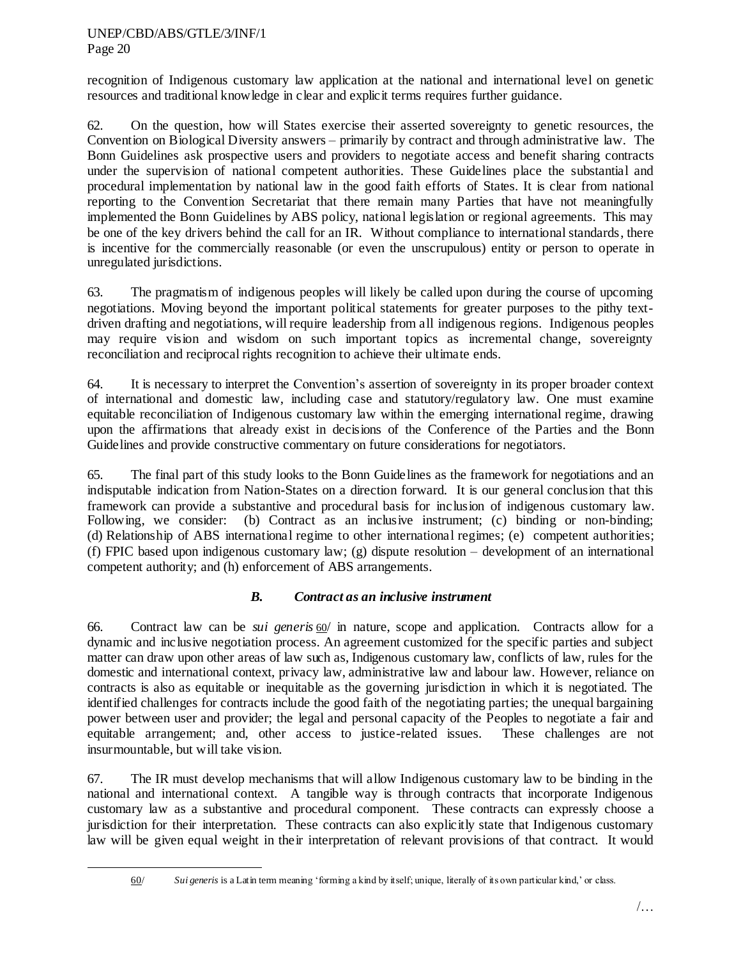$\overline{\phantom{a}}$ 

recognition of Indigenous customary law application at the national and international level on genetic resources and traditional knowledge in clear and explicit terms requires further guidance.

62. On the question, how will States exercise their asserted sovereignty to genetic resources, the Convention on Biological Diversity answers – primarily by contract and through administrative law. The Bonn Guidelines ask prospective users and providers to negotiate access and benefit sharing contracts under the supervision of national competent authorities. These Guidelines place the substantial and procedural implementation by national law in the good faith efforts of States. It is clear from national reporting to the Convention Secretariat that there remain many Parties that have not meaningfully implemented the Bonn Guidelines by ABS policy, national legislation or regional agreements. This may be one of the key drivers behind the call for an IR. Without compliance to international standards, there is incentive for the commercially reasonable (or even the unscrupulous) entity or person to operate in unregulated jurisdictions.

63. The pragmatism of indigenous peoples will likely be called upon during the course of upcoming negotiations. Moving beyond the important political statements for greater purposes to the pithy textdriven drafting and negotiations, will require leadership from all indigenous regions. Indigenous peoples may require vision and wisdom on such important topics as incremental change, sovereignty reconciliation and reciprocal rights recognition to achieve their ultimate ends.

64. It is necessary to interpret the Convention"s assertion of sovereignty in its proper broader context of international and domestic law, including case and statutory/regulatory law. One must examine equitable reconciliation of Indigenous customary law within the emerging international regime, drawing upon the affirmations that already exist in decisions of the Conference of the Parties and the Bonn Guidelines and provide constructive commentary on future considerations for negotiators.

65. The final part of this study looks to the Bonn Guidelines as the framework for negotiations and an indisputable indication from Nation-States on a direction forward. It is our general conclusion that this framework can provide a substantive and procedural basis for inclusion of indigenous customary law. Following, we consider: (b) Contract as an inclusive instrument; (c) binding or non-binding; (d) Relationship of ABS international regime to other international regimes; (e) competent authorities; (f) FPIC based upon indigenous customary law; (g) dispute resolution – development of an international competent authority; and (h) enforcement of ABS arrangements.

# *B. Contract as an inclusive instrument*

66. Contract law can be *sui generis* 60/ in nature, scope and application. Contracts allow for a dynamic and inclusive negotiation process. An agreement customized for the specific parties and subject matter can draw upon other areas of law such as, Indigenous customary law, conflicts of law, rules for the domestic and international context, privacy law, administrative law and labour law. However, reliance on contracts is also as equitable or inequitable as the governing jurisdiction in which it is negotiated. The identified challenges for contracts include the good faith of the negotiating parties; the unequal bargaining power between user and provider; the legal and personal capacity of the Peoples to negotiate a fair and equitable arrangement; and, other access to justice-related issues. These challenges are not insurmountable, but will take vision.

67. The IR must develop mechanisms that will allow Indigenous customary law to be binding in the national and international context. A tangible way is through contracts that incorporate Indigenous customary law as a substantive and procedural component. These contracts can expressly choose a jurisdiction for their interpretation. These contracts can also explicitly state that Indigenous customary law will be given equal weight in their interpretation of relevant provisions of that contract. It would

<sup>60/</sup> *Sui generis* is a Latin term meaning "forming a kind by itself; unique, literally of its own particular kind," or class.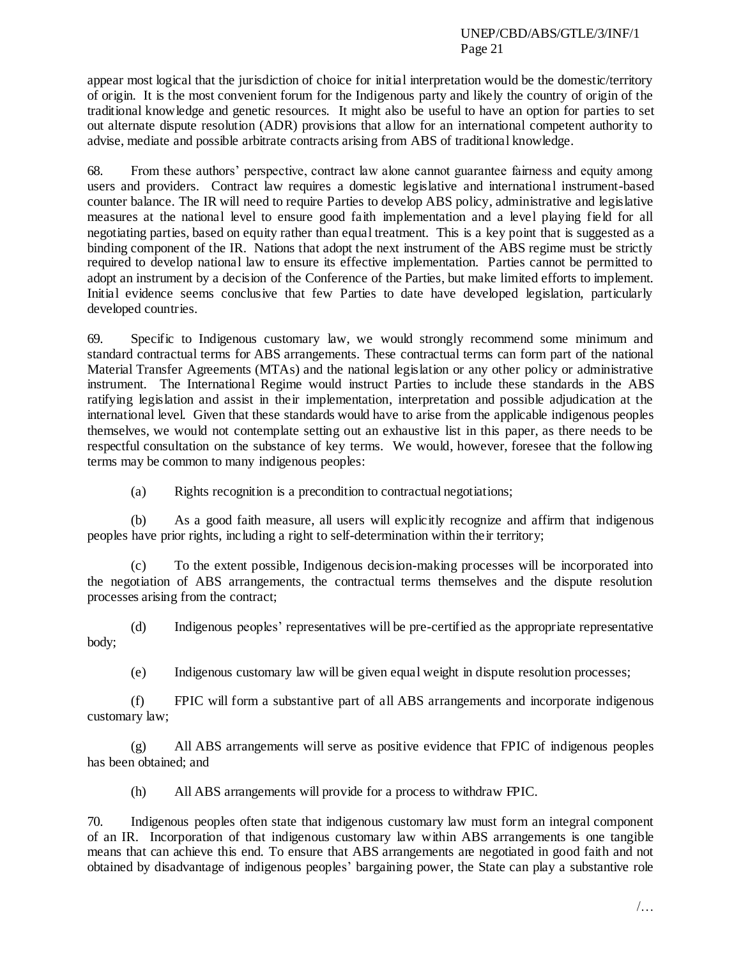appear most logical that the jurisdiction of choice for initial interpretation would be the domestic/territory of origin. It is the most convenient forum for the Indigenous party and likely the country of origin of the traditional knowledge and genetic resources. It might also be useful to have an option for parties to set out alternate dispute resolution (ADR) provisions that allow for an international competent authority to advise, mediate and possible arbitrate contracts arising from ABS of traditional knowledge.

68. From these authors" perspective, contract law alone cannot guarantee fairness and equity among users and providers. Contract law requires a domestic legislative and international instrument-based counter balance. The IR will need to require Parties to develop ABS policy, administrative and legislative measures at the national level to ensure good faith implementation and a level playing field for all negotiating parties, based on equity rather than equal treatment. This is a key point that is suggested as a binding component of the IR. Nations that adopt the next instrument of the ABS regime must be strictly required to develop national law to ensure its effective implementation. Parties cannot be permitted to adopt an instrument by a decision of the Conference of the Parties, but make limited efforts to implement. Initial evidence seems conclusive that few Parties to date have developed legislation, particularly developed countries.

69. Specific to Indigenous customary law, we would strongly recommend some minimum and standard contractual terms for ABS arrangements. These contractual terms can form part of the national Material Transfer Agreements (MTAs) and the national legislation or any other policy or administrative instrument. The International Regime would instruct Parties to include these standards in the ABS ratifying legislation and assist in their implementation, interpretation and possible adjudication at the international level. Given that these standards would have to arise from the applicable indigenous peoples themselves, we would not contemplate setting out an exhaustive list in this paper, as there needs to be respectful consultation on the substance of key terms. We would, however, foresee that the following terms may be common to many indigenous peoples:

(a) Rights recognition is a precondition to contractual negotiations;

(b) As a good faith measure, all users will explicitly recognize and affirm that indigenous peoples have prior rights, including a right to self-determination within their territory;

(c) To the extent possible, Indigenous decision-making processes will be incorporated into the negotiation of ABS arrangements, the contractual terms themselves and the dispute resolution processes arising from the contract;

(d) Indigenous peoples" representatives will be pre-certified as the appropriate representative body;

(e) Indigenous customary law will be given equal weight in dispute resolution processes;

(f) FPIC will form a substantive part of all ABS arrangements and incorporate indigenous customary law;

(g) All ABS arrangements will serve as positive evidence that FPIC of indigenous peoples has been obtained; and

(h) All ABS arrangements will provide for a process to withdraw FPIC.

70. Indigenous peoples often state that indigenous customary law must form an integral component of an IR. Incorporation of that indigenous customary law within ABS arrangements is one tangible means that can achieve this end. To ensure that ABS arrangements are negotiated in good faith and not obtained by disadvantage of indigenous peoples" bargaining power, the State can play a substantive role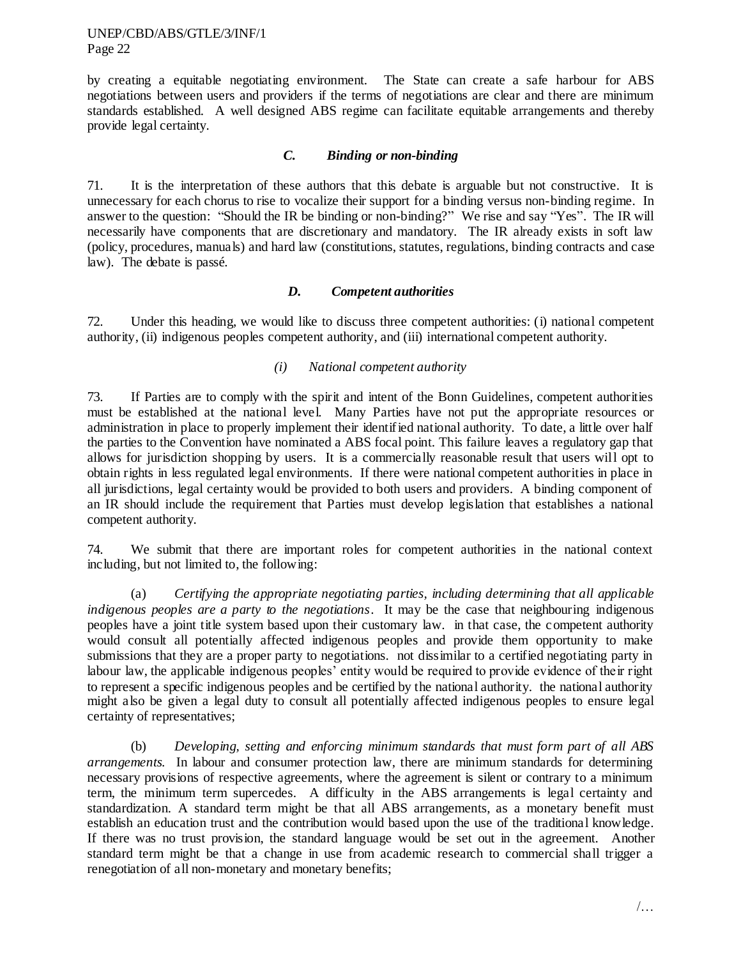by creating a equitable negotiating environment. The State can create a safe harbour for ABS negotiations between users and providers if the terms of negotiations are clear and there are minimum standards established. A well designed ABS regime can facilitate equitable arrangements and thereby provide legal certainty.

#### *C. Binding or non-binding*

71. It is the interpretation of these authors that this debate is arguable but not constructive. It is unnecessary for each chorus to rise to vocalize their support for a binding versus non-binding regime. In answer to the question: "Should the IR be binding or non-binding?" We rise and say "Yes". The IR will necessarily have components that are discretionary and mandatory. The IR already exists in soft law (policy, procedures, manuals) and hard law (constitutions, statutes, regulations, binding contracts and case law). The debate is passé.

### *D. Competent authorities*

72. Under this heading, we would like to discuss three competent authorities: (i) national competent authority, (ii) indigenous peoples competent authority, and (iii) international competent authority.

## *(i) National competent authority*

73. If Parties are to comply with the spirit and intent of the Bonn Guidelines, competent authorities must be established at the national level. Many Parties have not put the appropriate resources or administration in place to properly implement their identified national authority. To date, a little over half the parties to the Convention have nominated a ABS focal point. This failure leaves a regulatory gap that allows for jurisdiction shopping by users. It is a commercially reasonable result that users will opt to obtain rights in less regulated legal environments. If there were national competent authorities in place in all jurisdictions, legal certainty would be provided to both users and providers. A binding component of an IR should include the requirement that Parties must develop legislation that establishes a national competent authority.

74. We submit that there are important roles for competent authorities in the national context including, but not limited to, the following:

(a) *Certifying the appropriate negotiating parties, including determining that all applicable indigenous peoples are a party to the negotiations*. It may be the case that neighbouring indigenous peoples have a joint title system based upon their customary law. in that case, the competent authority would consult all potentially affected indigenous peoples and provide them opportunity to make submissions that they are a proper party to negotiations. not dissimilar to a certified negotiating party in labour law, the applicable indigenous peoples' entity would be required to provide evidence of their right to represent a specific indigenous peoples and be certified by the national authority. the national authority might also be given a legal duty to consult all potentially affected indigenous peoples to ensure legal certainty of representatives;

(b) *Developing, setting and enforcing minimum standards that must form part of all ABS arrangements*. In labour and consumer protection law, there are minimum standards for determining necessary provisions of respective agreements, where the agreement is silent or contrary to a minimum term, the minimum term supercedes. A difficulty in the ABS arrangements is legal certainty and standardization. A standard term might be that all ABS arrangements, as a monetary benefit must establish an education trust and the contribution would based upon the use of the traditional knowledge. If there was no trust provision, the standard language would be set out in the agreement. Another standard term might be that a change in use from academic research to commercial shall trigger a renegotiation of all non-monetary and monetary benefits;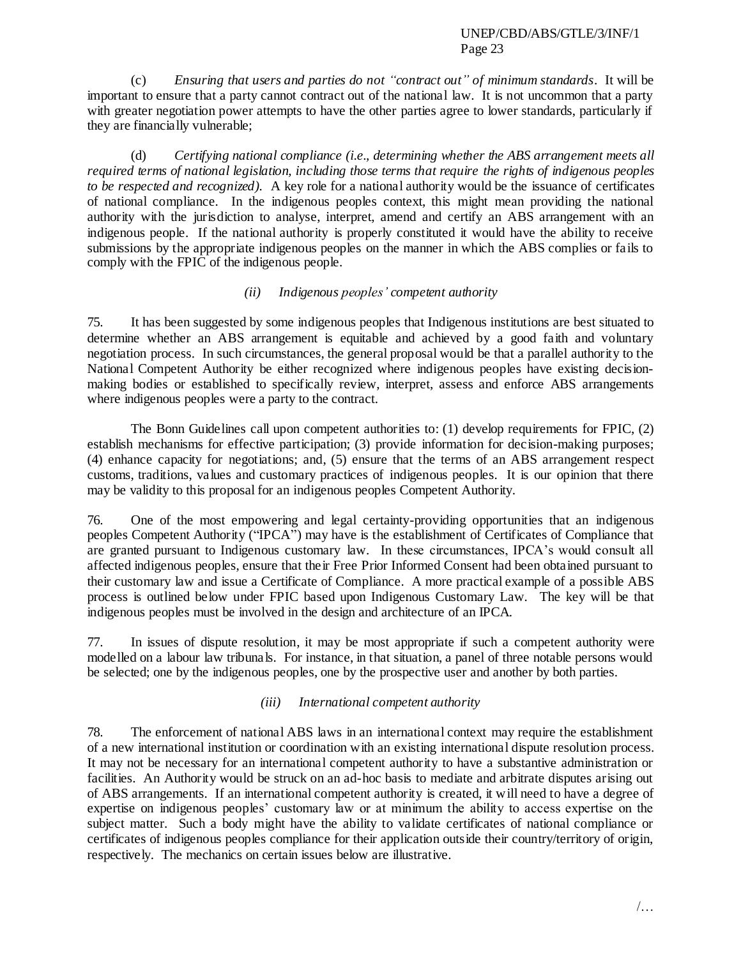(c) *Ensuring that users and parties do not "contract out" of minimum standards*. It will be important to ensure that a party cannot contract out of the national law. It is not uncommon that a party with greater negotiation power attempts to have the other parties agree to lower standards, particularly if they are financially vulnerable;

(d) *Certifying national compliance (i.e., determining whether the ABS arrangement meets all required terms of national legislation, including those terms that require the rights of indigenous peoples to be respected and recognized).* A key role for a national authority would be the issuance of certificates of national compliance. In the indigenous peoples context, this might mean providing the national authority with the jurisdiction to analyse, interpret, amend and certify an ABS arrangement with an indigenous people. If the national authority is properly constituted it would have the ability to receive submissions by the appropriate indigenous peoples on the manner in which the ABS complies or fails to comply with the FPIC of the indigenous people.

## *(ii) Indigenous peoples' competent authority*

75. It has been suggested by some indigenous peoples that Indigenous institutions are best situated to determine whether an ABS arrangement is equitable and achieved by a good faith and voluntary negotiation process. In such circumstances, the general proposal would be that a parallel authority to the National Competent Authority be either recognized where indigenous peoples have existing decisionmaking bodies or established to specifically review, interpret, assess and enforce ABS arrangements where indigenous peoples were a party to the contract.

The Bonn Guidelines call upon competent authorities to: (1) develop requirements for FPIC, (2) establish mechanisms for effective participation; (3) provide information for decision-making purposes; (4) enhance capacity for negotiations; and, (5) ensure that the terms of an ABS arrangement respect customs, traditions, values and customary practices of indigenous peoples. It is our opinion that there may be validity to this proposal for an indigenous peoples Competent Authority.

76. One of the most empowering and legal certainty-providing opportunities that an indigenous peoples Competent Authority ("IPCA") may have is the establishment of Certificates of Compliance that are granted pursuant to Indigenous customary law. In these circumstances, IPCA"s would consult all affected indigenous peoples, ensure that their Free Prior Informed Consent had been obtained pursuant to their customary law and issue a Certificate of Compliance. A more practical example of a possible ABS process is outlined below under FPIC based upon Indigenous Customary Law. The key will be that indigenous peoples must be involved in the design and architecture of an IPCA.

77. In issues of dispute resolution, it may be most appropriate if such a competent authority were modelled on a labour law tribunals. For instance, in that situation, a panel of three notable persons would be selected; one by the indigenous peoples, one by the prospective user and another by both parties.

### *(iii) International competent authority*

78. The enforcement of national ABS laws in an international context may require the establishment of a new international institution or coordination with an existing international dispute resolution process. It may not be necessary for an international competent authority to have a substantive administration or facilities. An Authority would be struck on an ad-hoc basis to mediate and arbitrate disputes arising out of ABS arrangements. If an international competent authority is created, it will need to have a degree of expertise on indigenous peoples" customary law or at minimum the ability to access expertise on the subject matter. Such a body might have the ability to validate certificates of national compliance or certificates of indigenous peoples compliance for their application outside their country/territory of origin, respectively. The mechanics on certain issues below are illustrative.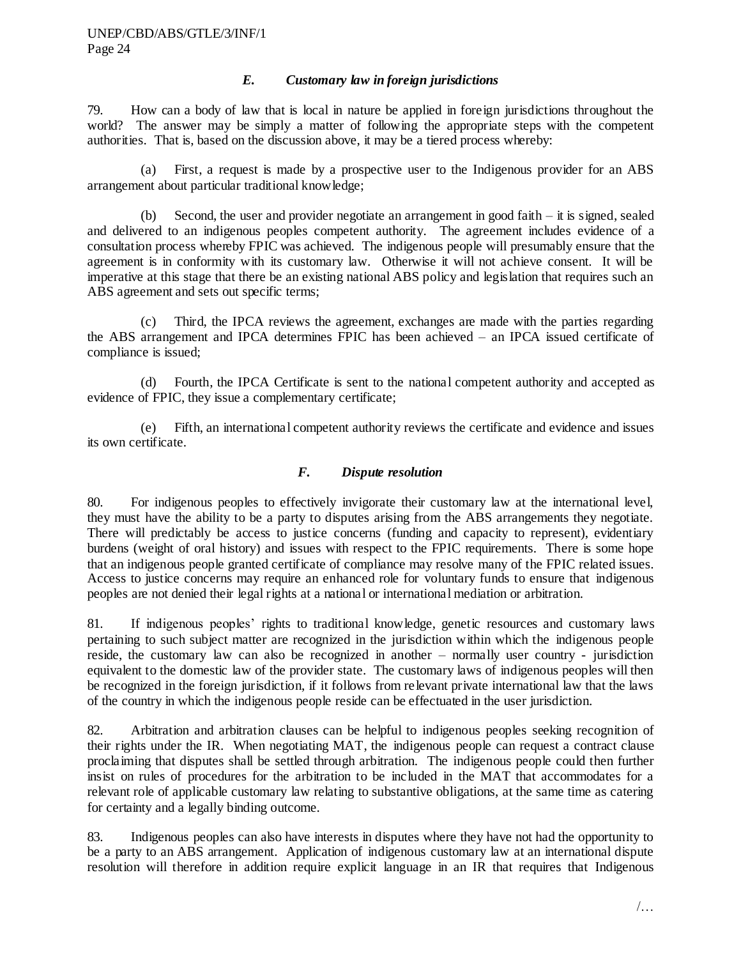### *E. Customary law in foreign jurisdictions*

79. How can a body of law that is local in nature be applied in foreign jurisdictions throughout the world? The answer may be simply a matter of following the appropriate steps with the competent authorities. That is, based on the discussion above, it may be a tiered process whereby:

(a) First, a request is made by a prospective user to the Indigenous provider for an ABS arrangement about particular traditional knowledge;

(b) Second, the user and provider negotiate an arrangement in good faith  $-$  it is signed, sealed and delivered to an indigenous peoples competent authority. The agreement includes evidence of a consultation process whereby FPIC was achieved. The indigenous people will presumably ensure that the agreement is in conformity with its customary law. Otherwise it will not achieve consent. It will be imperative at this stage that there be an existing national ABS policy and legislation that requires such an ABS agreement and sets out specific terms;

(c) Third, the IPCA reviews the agreement, exchanges are made with the parties regarding the ABS arrangement and IPCA determines FPIC has been achieved – an IPCA issued certificate of compliance is issued;

(d) Fourth, the IPCA Certificate is sent to the national competent authority and accepted as evidence of FPIC, they issue a complementary certificate;

(e) Fifth, an international competent authority reviews the certificate and evidence and issues its own certificate.

## *F. Dispute resolution*

80. For indigenous peoples to effectively invigorate their customary law at the international level, they must have the ability to be a party to disputes arising from the ABS arrangements they negotiate. There will predictably be access to justice concerns (funding and capacity to represent), evidentiary burdens (weight of oral history) and issues with respect to the FPIC requirements. There is some hope that an indigenous people granted certificate of compliance may resolve many of the FPIC related issues. Access to justice concerns may require an enhanced role for voluntary funds to ensure that indigenous peoples are not denied their legal rights at a national or international mediation or arbitration.

81. If indigenous peoples" rights to traditional knowledge, genetic resources and customary laws pertaining to such subject matter are recognized in the jurisdiction within which the indigenous people reside, the customary law can also be recognized in another – normally user country - jurisdiction equivalent to the domestic law of the provider state. The customary laws of indigenous peoples will then be recognized in the foreign jurisdiction, if it follows from relevant private international law that the laws of the country in which the indigenous people reside can be effectuated in the user jurisdiction.

82. Arbitration and arbitration clauses can be helpful to indigenous peoples seeking recognition of their rights under the IR. When negotiating MAT, the indigenous people can request a contract clause proclaiming that disputes shall be settled through arbitration. The indigenous people could then further insist on rules of procedures for the arbitration to be included in the MAT that accommodates for a relevant role of applicable customary law relating to substantive obligations, at the same time as catering for certainty and a legally binding outcome.

83. Indigenous peoples can also have interests in disputes where they have not had the opportunity to be a party to an ABS arrangement. Application of indigenous customary law at an international dispute resolution will therefore in addition require explicit language in an IR that requires that Indigenous